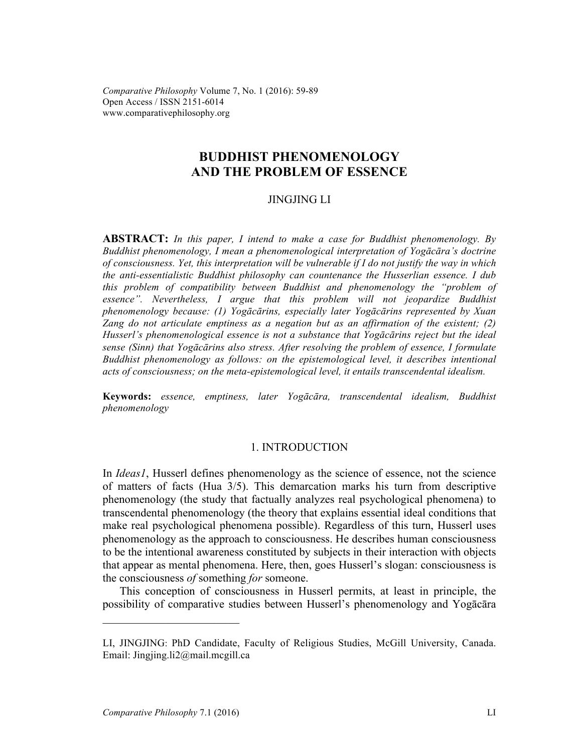*Comparative Philosophy* Volume 7, No. 1 (2016): 59-89 Open Access / ISSN 2151-6014 www.comparativephilosophy.org

# **BUDDHIST PHENOMENOLOGY AND THE PROBLEM OF ESSENCE**

## JINGJING LI

**ABSTRACT:** *In this paper, I intend to make a case for Buddhist phenomenology. By Buddhist phenomenology, I mean a phenomenological interpretation of Yogācāra's doctrine of consciousness. Yet, this interpretation will be vulnerable if I do not justify the way in which the anti-essentialistic Buddhist philosophy can countenance the Husserlian essence. I dub*  this problem of compatibility between Buddhist and phenomenology the "problem of *essence". Nevertheless, I argue that this problem will not jeopardize Buddhist phenomenology because: (1) Yogācārins, especially later Yogācārins represented by Xuan Zang do not articulate emptiness as a negation but as an affirmation of the existent; (2) Husserl's phenomenological essence is not a substance that Yogācārins reject but the ideal sense (Sinn) that Yogācārins also stress. After resolving the problem of essence, I formulate Buddhist phenomenology as follows: on the epistemological level, it describes intentional acts of consciousness; on the meta-epistemological level, it entails transcendental idealism.*

**Keywords:** *essence, emptiness, later Yogācāra, transcendental idealism, Buddhist phenomenology* 

## 1. INTRODUCTION

In *Ideas1*, Husserl defines phenomenology as the science of essence, not the science of matters of facts (Hua 3/5). This demarcation marks his turn from descriptive phenomenology (the study that factually analyzes real psychological phenomena) to transcendental phenomenology (the theory that explains essential ideal conditions that make real psychological phenomena possible). Regardless of this turn, Husserl uses phenomenology as the approach to consciousness. He describes human consciousness to be the intentional awareness constituted by subjects in their interaction with objects that appear as mental phenomena. Here, then, goes Husserl's slogan: consciousness is the consciousness *of* something *for* someone.

This conception of consciousness in Husserl permits, at least in principle, the possibility of comparative studies between Husserl's phenomenology and Yogācāra

 $\mathcal{L}_\text{max}$ 

LI, JINGJING: PhD Candidate, Faculty of Religious Studies, McGill University, Canada. Email: Jingjing.li2@mail.mcgill.ca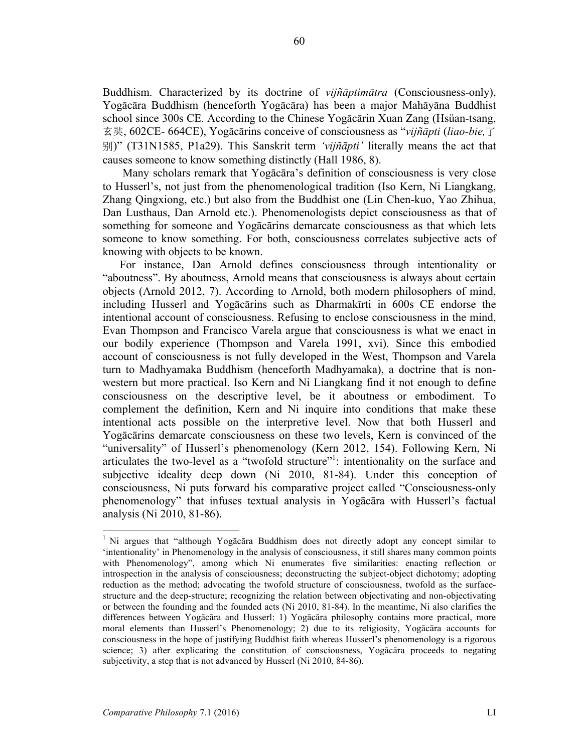Buddhism. Characterized by its doctrine of *vijñāptimātra* (Consciousness-only), Yogācāra Buddhism (henceforth Yogācāra) has been a major Mahāyāna Buddhist school since 300s CE. According to the Chinese Yogācārin Xuan Zang (Hsüan-tsang, 玄奘, 602CE- 664CE), Yogācārins conceive of consciousness as "*vijñāpti* (*liao-bie,*了 别)" (T31N1585, P1a29). This Sanskrit term *'vijñāpti'* literally means the act that causes someone to know something distinctly (Hall 1986, 8).

Many scholars remark that Yogācāra's definition of consciousness is very close to Husserl's, not just from the phenomenological tradition (Iso Kern, Ni Liangkang, Zhang Qingxiong, etc.) but also from the Buddhist one (Lin Chen-kuo, Yao Zhihua, Dan Lusthaus, Dan Arnold etc.). Phenomenologists depict consciousness as that of something for someone and Yogācārins demarcate consciousness as that which lets someone to know something. For both, consciousness correlates subjective acts of knowing with objects to be known.

For instance, Dan Arnold defines consciousness through intentionality or "aboutness". By aboutness, Arnold means that consciousness is always about certain objects (Arnold 2012, 7). According to Arnold, both modern philosophers of mind, including Husserl and Yogācārins such as Dharmakīrti in 600s CE endorse the intentional account of consciousness. Refusing to enclose consciousness in the mind, Evan Thompson and Francisco Varela argue that consciousness is what we enact in our bodily experience (Thompson and Varela 1991, xvi). Since this embodied account of consciousness is not fully developed in the West, Thompson and Varela turn to Madhyamaka Buddhism (henceforth Madhyamaka), a doctrine that is nonwestern but more practical. Iso Kern and Ni Liangkang find it not enough to define consciousness on the descriptive level, be it aboutness or embodiment. To complement the definition, Kern and Ni inquire into conditions that make these intentional acts possible on the interpretive level. Now that both Husserl and Yogācārins demarcate consciousness on these two levels, Kern is convinced of the "universality" of Husserl's phenomenology (Kern 2012, 154). Following Kern, Ni articulates the two-level as a "twofold structure"<sup>1</sup>: intentionality on the surface and subjective ideality deep down (Ni 2010, 81-84). Under this conception of consciousness, Ni puts forward his comparative project called "Consciousness-only phenomenology" that infuses textual analysis in Yogācāra with Husserl's factual analysis (Ni 2010, 81-86).

<sup>&</sup>lt;sup>1</sup> Ni argues that "although Yogacara Buddhism does not directly adopt any concept similar to 'intentionality' in Phenomenology in the analysis of consciousness, it still shares many common points with Phenomenology", among which Ni enumerates five similarities: enacting reflection or introspection in the analysis of consciousness; deconstructing the subject-object dichotomy; adopting reduction as the method; advocating the twofold structure of consciousness, twofold as the surfacestructure and the deep-structure; recognizing the relation between objectivating and non-objectivating or between the founding and the founded acts (Ni 2010, 81-84). In the meantime, Ni also clarifies the differences between Yogācāra and Husserl: 1) Yogācāra philosophy contains more practical, more moral elements than Husserl's Phenomenology; 2) due to its religiosity, Yogācāra accounts for consciousness in the hope of justifying Buddhist faith whereas Husserl's phenomenology is a rigorous science; 3) after explicating the constitution of consciousness, Yogācāra proceeds to negating subjectivity, a step that is not advanced by Husserl (Ni 2010, 84-86).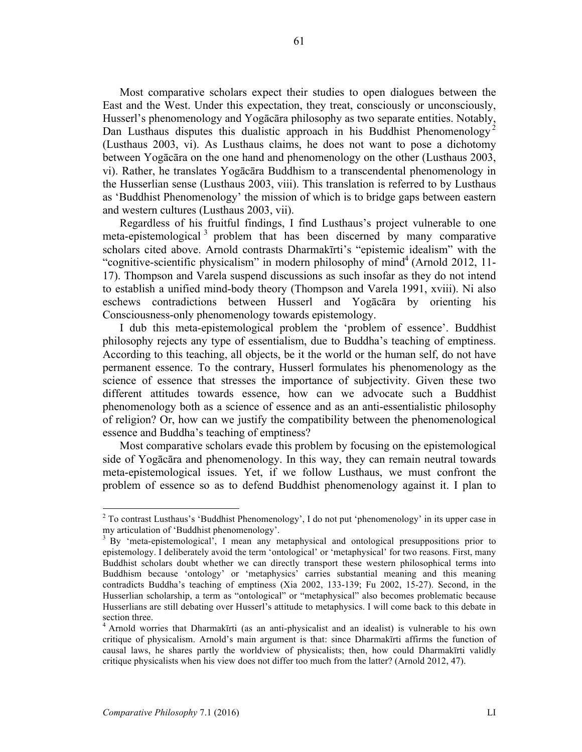Most comparative scholars expect their studies to open dialogues between the East and the West. Under this expectation, they treat, consciously or unconsciously, Husserl's phenomenology and Yogācāra philosophy as two separate entities. Notably, Dan Lusthaus disputes this dualistic approach in his Buddhist Phenomenology<sup>2</sup> (Lusthaus 2003, vi). As Lusthaus claims, he does not want to pose a dichotomy between Yogācāra on the one hand and phenomenology on the other (Lusthaus 2003, vi). Rather, he translates Yogācāra Buddhism to a transcendental phenomenology in the Husserlian sense (Lusthaus 2003, viii). This translation is referred to by Lusthaus as 'Buddhist Phenomenology' the mission of which is to bridge gaps between eastern and western cultures (Lusthaus 2003, vii).

Regardless of his fruitful findings, I find Lusthaus's project vulnerable to one meta-epistemological  $3$  problem that has been discerned by many comparative scholars cited above. Arnold contrasts Dharmakīrti's "epistemic idealism" with the "cognitive-scientific physicalism" in modern philosophy of mind<sup>4</sup> (Arnold 2012, 11-17). Thompson and Varela suspend discussions as such insofar as they do not intend to establish a unified mind-body theory (Thompson and Varela 1991, xviii). Ni also eschews contradictions between Husserl and Yogācāra by orienting his Consciousness-only phenomenology towards epistemology.

I dub this meta-epistemological problem the 'problem of essence'. Buddhist philosophy rejects any type of essentialism, due to Buddha's teaching of emptiness. According to this teaching, all objects, be it the world or the human self, do not have permanent essence. To the contrary, Husserl formulates his phenomenology as the science of essence that stresses the importance of subjectivity. Given these two different attitudes towards essence, how can we advocate such a Buddhist phenomenology both as a science of essence and as an anti-essentialistic philosophy of religion? Or, how can we justify the compatibility between the phenomenological essence and Buddha's teaching of emptiness?

Most comparative scholars evade this problem by focusing on the epistemological side of Yogācāra and phenomenology. In this way, they can remain neutral towards meta-epistemological issues. Yet, if we follow Lusthaus, we must confront the problem of essence so as to defend Buddhist phenomenology against it. I plan to

<sup>&</sup>lt;sup>2</sup> To contrast Lusthaus's 'Buddhist Phenomenology', I do not put 'phenomenology' in its upper case in my articulation of 'Buddhist phenomenology'.

<sup>&</sup>lt;sup>3</sup> By 'meta-epistemological', I mean any metaphysical and ontological presuppositions prior to epistemology. I deliberately avoid the term 'ontological' or 'metaphysical' for two reasons. First, many Buddhist scholars doubt whether we can directly transport these western philosophical terms into Buddhism because 'ontology' or 'metaphysics' carries substantial meaning and this meaning contradicts Buddha's teaching of emptiness (Xia 2002, 133-139; Fu 2002, 15-27). Second, in the Husserlian scholarship, a term as "ontological" or "metaphysical" also becomes problematic because Husserlians are still debating over Husserl's attitude to metaphysics. I will come back to this debate in section three.

<sup>4</sup> Arnold worries that Dharmakīrti (as an anti-physicalist and an idealist) is vulnerable to his own critique of physicalism. Arnold's main argument is that: since Dharmakīrti affirms the function of causal laws, he shares partly the worldview of physicalists; then, how could Dharmakīrti validly critique physicalists when his view does not differ too much from the latter? (Arnold 2012, 47).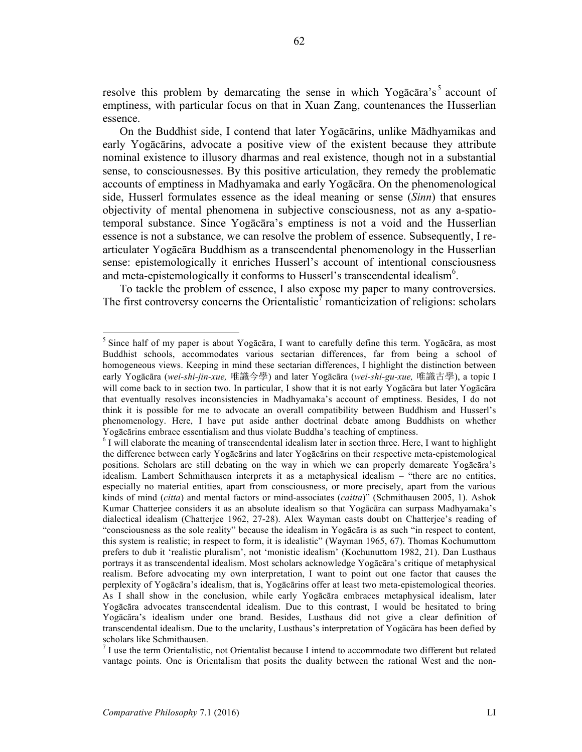resolve this problem by demarcating the sense in which Yogacara's<sup>5</sup> account of emptiness, with particular focus on that in Xuan Zang, countenances the Husserlian essence.

On the Buddhist side, I contend that later Yogācārins, unlike Mādhyamikas and early Yogācārins, advocate a positive view of the existent because they attribute nominal existence to illusory dharmas and real existence, though not in a substantial sense, to consciousnesses. By this positive articulation, they remedy the problematic accounts of emptiness in Madhyamaka and early Yogācāra. On the phenomenological side, Husserl formulates essence as the ideal meaning or sense (*Sinn*) that ensures objectivity of mental phenomena in subjective consciousness, not as any a-spatiotemporal substance. Since Yogācāra's emptiness is not a void and the Husserlian essence is not a substance, we can resolve the problem of essence. Subsequently, I rearticulater Yogācāra Buddhism as a transcendental phenomenology in the Husserlian sense: epistemologically it enriches Husserl's account of intentional consciousness and meta-epistemologically it conforms to Husserl's transcendental idealism<sup>6</sup>.

To tackle the problem of essence, I also expose my paper to many controversies. The first controversy concerns the Orientalistic<sup>7</sup> romanticization of religions: scholars

 <sup>5</sup> Since half of my paper is about Yogācāra, I want to carefully define this term. Yogācāra, as most Buddhist schools, accommodates various sectarian differences, far from being a school of homogeneous views. Keeping in mind these sectarian differences, I highlight the distinction between early Yogācāra (*wei-shi-jin-xue,* 唯識今學) and later Yogācāra (*wei-shi-gu-xue,* 唯識古學), a topic I will come back to in section two. In particular, I show that it is not early Yogācāra but later Yogācāra that eventually resolves inconsistencies in Madhyamaka's account of emptiness. Besides, I do not think it is possible for me to advocate an overall compatibility between Buddhism and Husserl's phenomenology. Here, I have put aside anther doctrinal debate among Buddhists on whether Yogācārins embrace essentialism and thus violate Buddha's teaching of emptiness.<br><sup>6</sup> I will elaborate the meaning of transcendental idealism later in section three. Here, I want to highlight

the difference between early Yogācārins and later Yogācārins on their respective meta-epistemological positions. Scholars are still debating on the way in which we can properly demarcate Yogācāra's idealism. Lambert Schmithausen interprets it as a metaphysical idealism – "there are no entities, especially no material entities, apart from consciousness, or more precisely, apart from the various kinds of mind (*citta*) and mental factors or mind-associates (*caitta*)" (Schmithausen 2005, 1). Ashok Kumar Chatterjee considers it as an absolute idealism so that Yogācāra can surpass Madhyamaka's dialectical idealism (Chatterjee 1962, 27-28). Alex Wayman casts doubt on Chatterjee's reading of "consciousness as the sole reality" because the idealism in Yogācāra is as such "in respect to content, this system is realistic; in respect to form, it is idealistic" (Wayman 1965, 67). Thomas Kochumuttom prefers to dub it 'realistic pluralism', not 'monistic idealism' (Kochunuttom 1982, 21). Dan Lusthaus portrays it as transcendental idealism. Most scholars acknowledge Yogācāra's critique of metaphysical realism. Before advocating my own interpretation, I want to point out one factor that causes the perplexity of Yogācāra's idealism, that is, Yogācārins offer at least two meta-epistemological theories. As I shall show in the conclusion, while early Yogācāra embraces metaphysical idealism, later Yogācāra advocates transcendental idealism. Due to this contrast, I would be hesitated to bring Yogācāra's idealism under one brand. Besides, Lusthaus did not give a clear definition of transcendental idealism. Due to the unclarity, Lusthaus's interpretation of Yogācāra has been defied by scholars like Schmithausen.<br><sup>7</sup> I use the term Orientalistic, not Orientalist because I intend to accommodate two different but related

vantage points. One is Orientalism that posits the duality between the rational West and the non-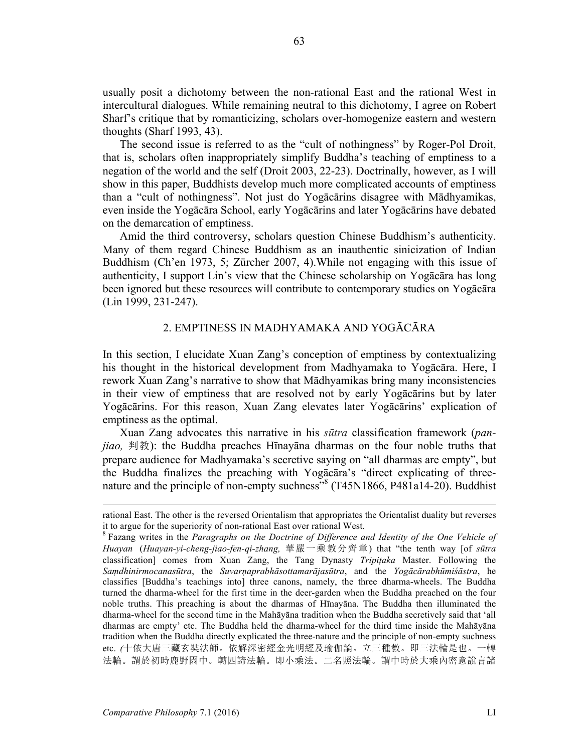usually posit a dichotomy between the non-rational East and the rational West in intercultural dialogues. While remaining neutral to this dichotomy, I agree on Robert Sharf's critique that by romanticizing, scholars over-homogenize eastern and western thoughts (Sharf 1993, 43).

The second issue is referred to as the "cult of nothingness" by Roger-Pol Droit, that is, scholars often inappropriately simplify Buddha's teaching of emptiness to a negation of the world and the self (Droit 2003, 22-23). Doctrinally, however, as I will show in this paper, Buddhists develop much more complicated accounts of emptiness than a "cult of nothingness". Not just do Yogācārins disagree with Mādhyamikas, even inside the Yogācāra School, early Yogācārins and later Yogācārins have debated on the demarcation of emptiness.

Amid the third controversy, scholars question Chinese Buddhism's authenticity. Many of them regard Chinese Buddhism as an inauthentic sinicization of Indian Buddhism (Ch'en 1973, 5; Zürcher 2007, 4).While not engaging with this issue of authenticity, I support Lin's view that the Chinese scholarship on Yogācāra has long been ignored but these resources will contribute to contemporary studies on Yogācāra (Lin 1999, 231-247).

# 2. EMPTINESS IN MADHYAMAKA AND YOGĀCĀRA

In this section, I elucidate Xuan Zang's conception of emptiness by contextualizing his thought in the historical development from Madhyamaka to Yogācāra. Here, I rework Xuan Zang's narrative to show that Mādhyamikas bring many inconsistencies in their view of emptiness that are resolved not by early Yogācārins but by later Yogācārins. For this reason, Xuan Zang elevates later Yogācārins' explication of emptiness as the optimal.

Xuan Zang advocates this narrative in his *sūtra* classification framework (*panjiao,* 判教): the Buddha preaches Hīnayāna dharmas on the four noble truths that prepare audience for Madhyamaka's secretive saying on "all dharmas are empty", but the Buddha finalizes the preaching with Yogācāra's "direct explicating of threenature and the principle of non-empty suchness<sup>38</sup> (T45N1866, P481a14-20). Buddhist

rational East. The other is the reversed Orientalism that appropriates the Orientalist duality but reverses it to argue for the superiority of non-rational East over rational West.<br><sup>8</sup> Fazang writes in the *Paragraphs on the Doctrine of Difference and Identity of the One Vehicle of* 

*Huayan* (*Huayan-yi-cheng-jiao-fen-qi-zhang,* 華嚴一乘教分齊章) that "the tenth way [of *sūtra* classification] comes from Xuan Zang, the Tang Dynasty *Tripiṭaka* Master. Following the Samdhinirmocanasūtra, the Suvarnaprabhāsottamarājasūtra, and the Yogācārabhūmiśāstra, he classifies [Buddha's teachings into] three canons, namely, the three dharma-wheels. The Buddha turned the dharma-wheel for the first time in the deer-garden when the Buddha preached on the four noble truths. This preaching is about the dharmas of Hīnayāna. The Buddha then illuminated the dharma-wheel for the second time in the Mahāyāna tradition when the Buddha secretively said that 'all dharmas are empty' etc. The Buddha held the dharma-wheel for the third time inside the Mahāyāna tradition when the Buddha directly explicated the three-nature and the principle of non-empty suchness etc. *(*十依大唐三藏玄奘法師。依解深密經金光明經及瑜伽論。立三種教。即三法輪是也。一轉 法輪。謂於初時鹿野園中。轉四諦法輪。即小乘法。二名照法輪。謂中時於大乘內密意說言諸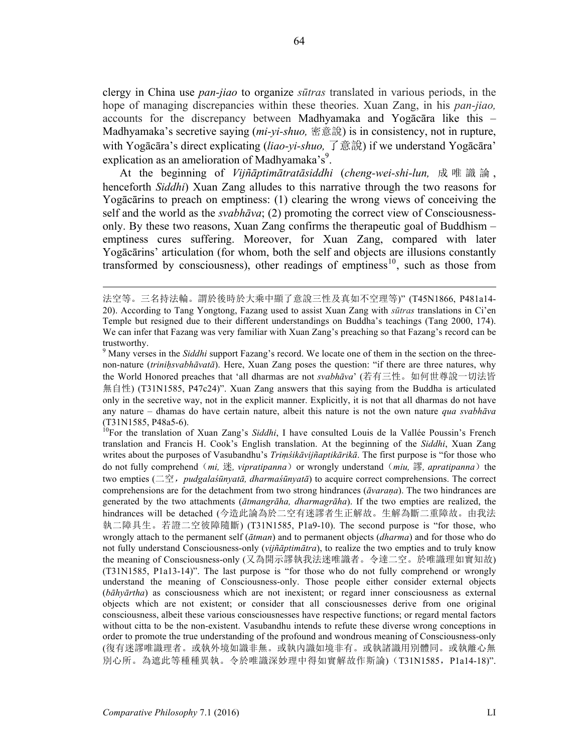clergy in China use *pan-jiao* to organize *sūtras* translated in various periods, in the hope of managing discrepancies within these theories. Xuan Zang, in his *pan-jiao,*  accounts for the discrepancy between Madhyamaka and Yogācāra like this – Madhyamaka's secretive saying (*mi-yi-shuo,* 密意說) is in consistency, not in rupture, with Yogācāra's direct explicating (*liao-yi-shuo,* 了意說) if we understand Yogācāra' explication as an amelioration of Madhyamaka's $\degree$ .

At the beginning of *Vijñāptimātratāsiddhi* (*cheng-wei-shi-lun,* 成唯識論 , henceforth *Siddhi*) Xuan Zang alludes to this narrative through the two reasons for Yogācārins to preach on emptiness: (1) clearing the wrong views of conceiving the self and the world as the *svabhāva*; (2) promoting the correct view of Consciousnessonly. By these two reasons, Xuan Zang confirms the therapeutic goal of Buddhism – emptiness cures suffering. Moreover, for Xuan Zang, compared with later Yogācārins' articulation (for whom, both the self and objects are illusions constantly transformed by consciousness), other readings of emptiness<sup>10</sup>, such as those from

法空等。三名持法輪。謂於後時於大乘中顯了意說三性及真如不空理等)" (T45N1866, P481a14- 20). According to Tang Yongtong, Fazang used to assist Xuan Zang with *sūtras* translations in Ci'en Temple but resigned due to their different understandings on Buddha's teachings (Tang 2000, 174). We can infer that Fazang was very familiar with Xuan Zang's preaching so that Fazang's record can be trustworthy.

<sup>9</sup> Many verses in the *Siddhi* support Fazang's record. We locate one of them in the section on the threenon-nature (*triniḥsvabhāvatā*). Here, Xuan Zang poses the question: "if there are three natures, why the World Honored preaches that 'all dharmas are not *svabhāva*' (若有三性。如何世尊說一切法皆 無自性) (T31N1585, P47c24)". Xuan Zang answers that this saying from the Buddha is articulated only in the secretive way, not in the explicit manner. Explicitly, it is not that all dharmas do not have any nature – dhamas do have certain nature, albeit this nature is not the own nature *qua svabhāva* (T31N1585, P48a5-6).<br><sup>10</sup>For the translation of Xuan Zang's *Siddhi*, I have consulted Louis de la Vallée Poussin's French

translation and Francis H. Cook's English translation. At the beginning of the *Siddhi*, Xuan Zang writes about the purposes of Vasubandhu's *Triṃśikāvijñaptikārikā*. The first purpose is "for those who do not fully comprehend (mi, 迷, vipratipanna) or wrongly understand (miu, 謬, apratipanna) the two empties (二空,*pudgalaśūnyatā, dharmaśūnyatā*) to acquire correct comprehensions. The correct comprehensions are for the detachment from two strong hindrances (*āvaraṇa*). The two hindrances are generated by the two attachments (*ātmangrāha, dharmagrāha*). If the two empties are realized, the hindrances will be detached (今造此論為於二空有迷謬者生正解故。生解為斷二重障故。由我法 執二障具生。若證二空彼障隨斷) (T31N1585, P1a9-10). The second purpose is "for those, who wrongly attach to the permanent self (*ātman*) and to permanent objects (*dharma*) and for those who do not fully understand Consciousness-only (*vijñāptimātra*), to realize the two empties and to truly know the meaning of Consciousness-only (又為開示謬執我法迷唯識者。令達二空。於唯識理如實知故) (T31N1585, P1a13-14)". The last purpose is "for those who do not fully comprehend or wrongly understand the meaning of Consciousness-only. Those people either consider external objects (*bāhyārtha*) as consciousness which are not inexistent; or regard inner consciousness as external objects which are not existent; or consider that all consciousnesses derive from one original consciousness, albeit these various consciousnesses have respective functions; or regard mental factors without citta to be the non-existent. Vasubandhu intends to refute these diverse wrong conceptions in order to promote the true understanding of the profound and wondrous meaning of Consciousness-only (復有迷謬唯識理者。或執外境如識非無。或執內識如境非有。或執諸識用別體同。或執離心無 別心所。為遮此等種種異執。令於唯識深妙理中得如實解故作斯論)(T31N1585,P1a14-18)".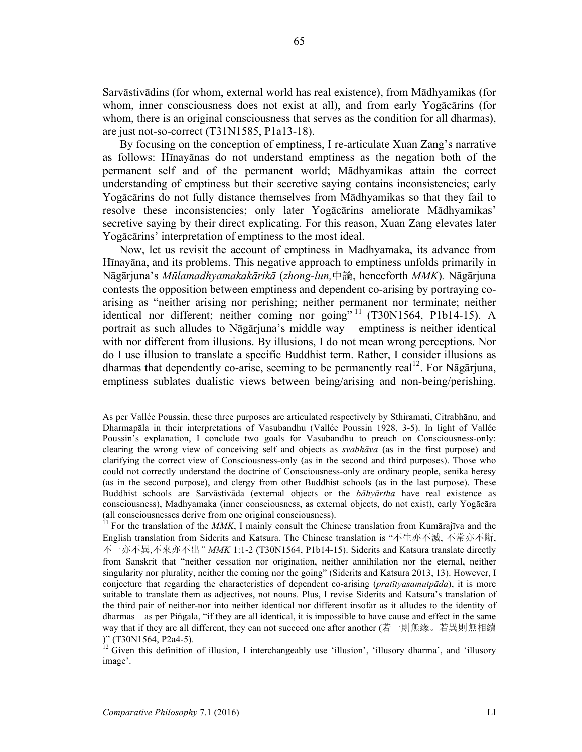Sarvāstivādins (for whom, external world has real existence), from Mādhyamikas (for whom, inner consciousness does not exist at all), and from early Yogācārins (for whom, there is an original consciousness that serves as the condition for all dharmas), are just not-so-correct (T31N1585, P1a13-18).

By focusing on the conception of emptiness, I re-articulate Xuan Zang's narrative as follows: Hīnayānas do not understand emptiness as the negation both of the permanent self and of the permanent world; Mādhyamikas attain the correct understanding of emptiness but their secretive saying contains inconsistencies; early Yogācārins do not fully distance themselves from Mādhyamikas so that they fail to resolve these inconsistencies; only later Yogācārins ameliorate Mādhyamikas' secretive saying by their direct explicating. For this reason, Xuan Zang elevates later Yogācārins' interpretation of emptiness to the most ideal.

Now, let us revisit the account of emptiness in Madhyamaka, its advance from Hīnayāna, and its problems. This negative approach to emptiness unfolds primarily in Nāgārjuna's *Mūlamadhyamakakārikā* (*zhong-lun,*中論, henceforth *MMK*)*.* Nāgārjuna contests the opposition between emptiness and dependent co-arising by portraying coarising as "neither arising nor perishing; neither permanent nor terminate; neither identical nor different; neither coming nor going"<sup>11</sup> (T30N1564, P1b14-15). A portrait as such alludes to Nāgārjuna's middle way – emptiness is neither identical with nor different from illusions. By illusions, I do not mean wrong perceptions. Nor do I use illusion to translate a specific Buddhist term. Rather, I consider illusions as dharmas that dependently co-arise, seeming to be permanently real<sup>12</sup>. For Nāgāriuna, emptiness sublates dualistic views between being/arising and non-being/perishing.

As per Vallée Poussin, these three purposes are articulated respectively by Sthiramati, Citrabhānu, and Dharmapāla in their interpretations of Vasubandhu (Vallée Poussin 1928, 3-5). In light of Vallée Poussin's explanation, I conclude two goals for Vasubandhu to preach on Consciousness-only: clearing the wrong view of conceiving self and objects as *svabhāva* (as in the first purpose) and clarifying the correct view of Consciousness-only (as in the second and third purposes). Those who could not correctly understand the doctrine of Consciousness-only are ordinary people, senika heresy (as in the second purpose), and clergy from other Buddhist schools (as in the last purpose). These Buddhist schools are Sarvāstivāda (external objects or the *bāhyārtha* have real existence as consciousness), Madhyamaka (inner consciousness, as external objects, do not exist), early Yogācāra (all consciousnesses derive from one original consciousness). <sup>11</sup> For the translation of the *MMK*, I mainly consult the Chinese translation from Kumārajīva and the

English translation from Siderits and Katsura. The Chinese translation is "不生亦不滅, 不常亦不斷, 不一亦不異,不來亦不出*" MMK* 1:1-2 (T30N1564, P1b14-15). Siderits and Katsura translate directly from Sanskrit that "neither cessation nor origination, neither annihilation nor the eternal, neither singularity nor plurality, neither the coming nor the going" (Siderits and Katsura 2013, 13). However, I conjecture that regarding the characteristics of dependent co-arising (*pratītyasamutpāda*), it is more suitable to translate them as adjectives, not nouns. Plus, I revise Siderits and Katsura's translation of the third pair of neither-nor into neither identical nor different insofar as it alludes to the identity of dharmas – as per Piṅgala, "if they are all identical, it is impossible to have cause and effect in the same way that if they are all different, they can not succeed one after another (若一則無緣。若異則無相續 )" (T30N1564, P2a4-5).<br><sup>12</sup> Given this definition of illusion, I interchangeably use 'illusion', 'illusory dharma', and 'illusory

image'.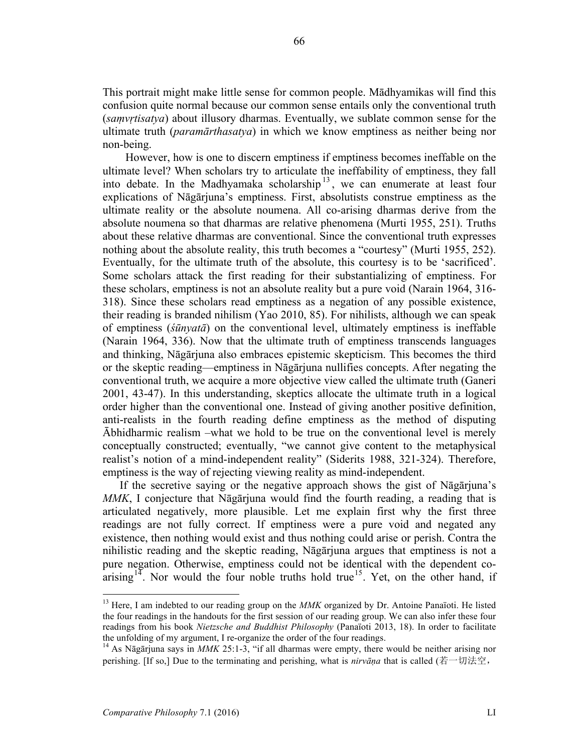This portrait might make little sense for common people. Mādhyamikas will find this confusion quite normal because our common sense entails only the conventional truth (*saṃvṛtisatya*) about illusory dharmas. Eventually, we sublate common sense for the ultimate truth (*paramārthasatya*) in which we know emptiness as neither being nor non-being.

 However, how is one to discern emptiness if emptiness becomes ineffable on the ultimate level? When scholars try to articulate the ineffability of emptiness, they fall into debate. In the Madhyamaka scholarship <sup>13</sup> , we can enumerate at least four explications of Nāgārjuna's emptiness. First, absolutists construe emptiness as the ultimate reality or the absolute noumena. All co-arising dharmas derive from the absolute noumena so that dharmas are relative phenomena (Murti 1955, 251). Truths about these relative dharmas are conventional. Since the conventional truth expresses nothing about the absolute reality, this truth becomes a "courtesy" (Murti 1955, 252). Eventually, for the ultimate truth of the absolute, this courtesy is to be 'sacrificed'. Some scholars attack the first reading for their substantializing of emptiness. For these scholars, emptiness is not an absolute reality but a pure void (Narain 1964, 316- 318). Since these scholars read emptiness as a negation of any possible existence, their reading is branded nihilism (Yao 2010, 85). For nihilists, although we can speak of emptiness (*śūnyatā*) on the conventional level, ultimately emptiness is ineffable (Narain 1964, 336). Now that the ultimate truth of emptiness transcends languages and thinking, Nāgārjuna also embraces epistemic skepticism. This becomes the third or the skeptic reading—emptiness in Nāgārjuna nullifies concepts. After negating the conventional truth, we acquire a more objective view called the ultimate truth (Ganeri 2001, 43-47). In this understanding, skeptics allocate the ultimate truth in a logical order higher than the conventional one. Instead of giving another positive definition, anti-realists in the fourth reading define emptiness as the method of disputing Ābhidharmic realism –what we hold to be true on the conventional level is merely conceptually constructed; eventually, "we cannot give content to the metaphysical realist's notion of a mind-independent reality" (Siderits 1988, 321-324). Therefore, emptiness is the way of rejecting viewing reality as mind-independent.

If the secretive saying or the negative approach shows the gist of Nāgārjuna's *MMK*, I conjecture that Nāgārjuna would find the fourth reading, a reading that is articulated negatively, more plausible. Let me explain first why the first three readings are not fully correct. If emptiness were a pure void and negated any existence, then nothing would exist and thus nothing could arise or perish. Contra the nihilistic reading and the skeptic reading, Nāgārjuna argues that emptiness is not a pure negation. Otherwise, emptiness could not be identical with the dependent coarising<sup>14</sup>. Nor would the four noble truths hold true<sup>15</sup>. Yet, on the other hand, if

<sup>&</sup>lt;sup>13</sup> Here, I am indebted to our reading group on the *MMK* organized by Dr. Antoine Panaïoti. He listed the four readings in the handouts for the first session of our reading group. We can also infer these four readings from his book *Nietzsche and Buddhist Philosophy* (Panaïoti 2013, 18). In order to facilitate

<sup>&</sup>lt;sup>14</sup> As Nāgārjuna says in  $MMK$  25:1-3, "if all dharmas were empty, there would be neither arising nor perishing. [If so,] Due to the terminating and perishing, what is *nirvāṇa* that is called (若一切法空,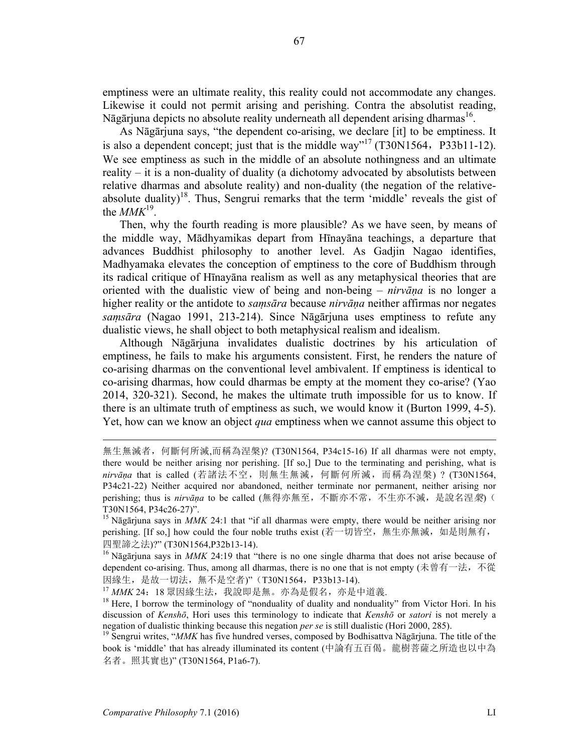emptiness were an ultimate reality, this reality could not accommodate any changes. Likewise it could not permit arising and perishing. Contra the absolutist reading, Nāgārjuna depicts no absolute reality underneath all dependent arising dharmas<sup>16</sup>.

As Nāgārjuna says, "the dependent co-arising, we declare [it] to be emptiness. It is also a dependent concept; just that is the middle way"<sup>17</sup> (T30N1564, P33b11-12). We see emptiness as such in the middle of an absolute nothingness and an ultimate reality – it is a non-duality of duality (a dichotomy advocated by absolutists between relative dharmas and absolute reality) and non-duality (the negation of the relativeabsolute duality)<sup>18</sup>. Thus, Sengrui remarks that the term 'middle' reveals the gist of the  $MMK^{19}$ .

Then, why the fourth reading is more plausible? As we have seen, by means of the middle way, Mādhyamikas depart from Hīnayāna teachings, a departure that advances Buddhist philosophy to another level. As Gadjin Nagao identifies, Madhyamaka elevates the conception of emptiness to the core of Buddhism through its radical critique of Hīnayāna realism as well as any metaphysical theories that are oriented with the dualistic view of being and non-being – *nirvāṇa* is no longer a higher reality or the antidote to *saṃsāra* because *nirvāṇa* neither affirmas nor negates *saṃsāra* (Nagao 1991, 213-214). Since Nāgārjuna uses emptiness to refute any dualistic views, he shall object to both metaphysical realism and idealism.

Although Nāgārjuna invalidates dualistic doctrines by his articulation of emptiness, he fails to make his arguments consistent. First, he renders the nature of co-arising dharmas on the conventional level ambivalent. If emptiness is identical to co-arising dharmas, how could dharmas be empty at the moment they co-arise? (Yao 2014, 320-321). Second, he makes the ultimate truth impossible for us to know. If there is an ultimate truth of emptiness as such, we would know it (Burton 1999, 4-5). Yet, how can we know an object *qua* emptiness when we cannot assume this object to

<sup>17</sup> *MMK* 24:18 眾因緣生法,我說即是無。亦為是假名,亦是中道義.

無生無滅者,何斷何所滅,而稱為涅槃)? (T30N1564, P34c15-16) If all dharmas were not empty, there would be neither arising nor perishing. [If so,] Due to the terminating and perishing, what is *nirvāṇa* that is called (若諸法不空,則無生無滅,何斷何所滅,而稱為涅槃) ? (T30N1564, P34c21-22) Neither acquired nor abandoned, neither terminate nor permanent, neither arising nor perishing; thus is *nirvāṇa* to be called (無得亦無至,不斷亦不常,不生亦不滅,是說名涅槃)( T30N1564, P34c26-27)".<br><sup>15</sup> Nāgārjuna says in *MMK* 24:1 that "if all dharmas were empty, there would be neither arising nor

perishing. [If so,] how could the four noble truths exist (若一切皆空, 無生亦無滅, 如是則無有, 四聖諦之法)?" (T30N1564,P32b13-14).

<sup>&</sup>lt;sup>16</sup> Nāgārjuna says in *MMK* 24:19 that "there is no one single dharma that does not arise because of dependent co-arising. Thus, among all dharmas, there is no one that is not empty (未曾有一法,不從 因緣生, 是故一切法, 無不是空者)"(T30N1564, P33b13-14).

 $18$  Here, I borrow the terminology of "nonduality of duality and nonduality" from Victor Hori. In his discussion of *Kenshō*, Hori uses this terminology to indicate that *Kenshō* or *satori* is not merely a negation of dualistic thinking because this negation *per se* is still dualistic (Hori 2000, 285). 19 Sengrui writes, "*MMK* has five hundred verses, composed by Bodhisattva Nāgārjuna. The title of the

book is 'middle' that has already illuminated its content (中論有五百偈。龍樹菩薩之所造也以中為 名者。照其實也)" (T30N1564, P1a6-7).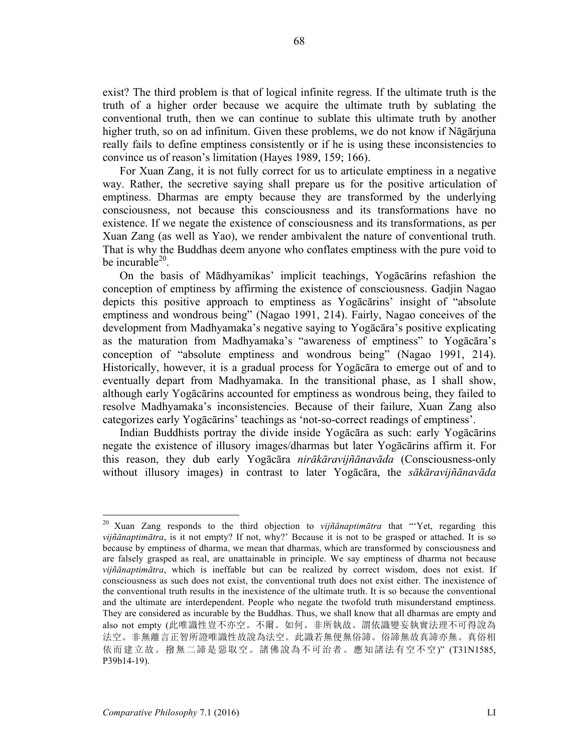exist? The third problem is that of logical infinite regress. If the ultimate truth is the truth of a higher order because we acquire the ultimate truth by sublating the conventional truth, then we can continue to sublate this ultimate truth by another higher truth, so on ad infinitum. Given these problems, we do not know if Nāgārjuna really fails to define emptiness consistently or if he is using these inconsistencies to convince us of reason's limitation (Hayes 1989, 159; 166).

For Xuan Zang, it is not fully correct for us to articulate emptiness in a negative way. Rather, the secretive saying shall prepare us for the positive articulation of emptiness. Dharmas are empty because they are transformed by the underlying consciousness, not because this consciousness and its transformations have no existence. If we negate the existence of consciousness and its transformations, as per Xuan Zang (as well as Yao), we render ambivalent the nature of conventional truth. That is why the Buddhas deem anyone who conflates emptiness with the pure void to be incurable $^{20}$ .

On the basis of Mādhyamikas' implicit teachings, Yogācārins refashion the conception of emptiness by affirming the existence of consciousness. Gadjin Nagao depicts this positive approach to emptiness as Yogācārins' insight of "absolute emptiness and wondrous being" (Nagao 1991, 214). Fairly, Nagao conceives of the development from Madhyamaka's negative saying to Yogācāra's positive explicating as the maturation from Madhyamaka's "awareness of emptiness" to Yogācāra's conception of "absolute emptiness and wondrous being" (Nagao 1991, 214). Historically, however, it is a gradual process for Yogācāra to emerge out of and to eventually depart from Madhyamaka. In the transitional phase, as I shall show, although early Yogācārins accounted for emptiness as wondrous being, they failed to resolve Madhyamaka's inconsistencies. Because of their failure, Xuan Zang also categorizes early Yogācārins' teachings as 'not-so-correct readings of emptiness'.

Indian Buddhists portray the divide inside Yogācāra as such: early Yogācārins negate the existence of illusory images/dharmas but later Yogācārins affirm it. For this reason, they dub early Yogācāra *nirākāravijñānavāda* (Consciousness-only without illusory images) in contrast to later Yogācāra, the *sākāravijñānavāda*

 <sup>20</sup> Xuan Zang responds to the third objection to *vijñānaptimātra* that "'Yet, regarding this *vijñānaptimātra*, is it not empty? If not, why?' Because it is not to be grasped or attached. It is so because by emptiness of dharma, we mean that dharmas, which are transformed by consciousness and are falsely grasped as real, are unattainable in principle. We say emptiness of dharma not because *vijñānaptimātra*, which is ineffable but can be realized by correct wisdom, does not exist. If consciousness as such does not exist, the conventional truth does not exist either. The inexistence of the conventional truth results in the inexistence of the ultimate truth. It is so because the conventional and the ultimate are interdependent. People who negate the twofold truth misunderstand emptiness. They are considered as incurable by the Buddhas. Thus, we shall know that all dharmas are empty and also not empty (此唯識性豈不亦空。不爾。如何。非所執故。謂依識變妄執實法理不可得說為 法空。非無離言正智所證唯識性故說為法空。此識若無便無俗諦。俗諦無故真諦亦無。真俗相 依而建立故。撥無二諦是惡取空。諸佛說為不可治者。應知諸法有空不空)" (T31N1585, P39b14-19).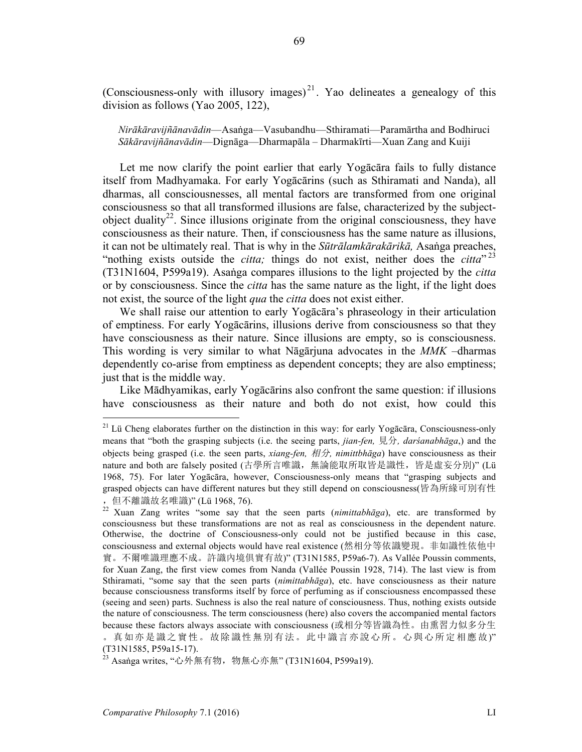(Consciousness-only with illusory images) $<sup>21</sup>$ . Yao delineates a genealogy of this</sup> division as follows (Yao 2005, 122),

 *Nirākāravijñānavādin*—Asaṅga—Vasubandhu—Sthiramati—Paramārtha and Bodhiruci *Sākāravijñānavādin*—Dignāga—Dharmapāla – Dharmakīrti—Xuan Zang and Kuiji

 Let me now clarify the point earlier that early Yogācāra fails to fully distance itself from Madhyamaka. For early Yogācārins (such as Sthiramati and Nanda), all dharmas, all consciousnesses, all mental factors are transformed from one original consciousness so that all transformed illusions are false, characterized by the subjectobject duality<sup>22</sup>. Since illusions originate from the original consciousness, they have consciousness as their nature. Then, if consciousness has the same nature as illusions, it can not be ultimately real. That is why in the *Sūtrālamkārakārikā,* Asaṅga preaches, "nothing exists outside the *citta*; things do not exist, neither does the *citta*"<sup>23</sup> (T31N1604, P599a19). Asaṅga compares illusions to the light projected by the *citta* or by consciousness. Since the *citta* has the same nature as the light, if the light does not exist, the source of the light *qua* the *citta* does not exist either.

We shall raise our attention to early Yogācāra's phraseology in their articulation of emptiness. For early Yogācārins, illusions derive from consciousness so that they have consciousness as their nature. Since illusions are empty, so is consciousness. This wording is very similar to what Nāgārjuna advocates in the *MMK* –dharmas dependently co-arise from emptiness as dependent concepts; they are also emptiness; just that is the middle way.

Like Mādhyamikas, early Yogācārins also confront the same question: if illusions have consciousness as their nature and both do not exist, how could this

 $21$  Lü Cheng elaborates further on the distinction in this way: for early Yogācāra, Consciousness-only means that "both the grasping subjects (i.e. the seeing parts, *jian-fen,* 見分*, darśanabhāga*,) and the objects being grasped (i.e. the seen parts, *xiang-fen,* 相分*, nimittbhāga*) have consciousness as their nature and both are falsely posited (古學所言唯識, 無論能取所取皆是識性, 皆是虛妄分別)" (Lü 1968, 75). For later Yogācāra, however, Consciousness-only means that "grasping subjects and grasped objects can have different natures but they still depend on consciousness(皆為所緣可別有性 ,但不離識故名唯識)" (Lü 1968, 76). 22 Xuan Zang writes "some say that the seen parts (*nimittabhāga*), etc. are transformed by

consciousness but these transformations are not as real as consciousness in the dependent nature. Otherwise, the doctrine of Consciousness-only could not be justified because in this case, consciousness and external objects would have real existence (然相分等依識變現。非如識性依他中 實。不爾唯識理應不成。許識內境俱實有故)" (T31N1585, P59a6-7). As Vallée Poussin comments, for Xuan Zang, the first view comes from Nanda (Vallée Poussin 1928, 714). The last view is from Sthiramati, "some say that the seen parts (*nimittabhāga*), etc. have consciousness as their nature because consciousness transforms itself by force of perfuming as if consciousness encompassed these (seeing and seen) parts. Suchness is also the real nature of consciousness. Thus, nothing exists outside the nature of consciousness. The term consciousness (here) also covers the accompanied mental factors because these factors always associate with consciousness (或相分等皆識為性。由熏習力似多分生 。真如亦是識之實性。故除識性無別有法。此中識言亦說心所。心與心所定相應故)"

<sup>(</sup>T31N1585, P59a15-17).<br><sup>23</sup> Asaṅga writes, "心外無有物, 物無心亦無" (T31N1604, P599a19).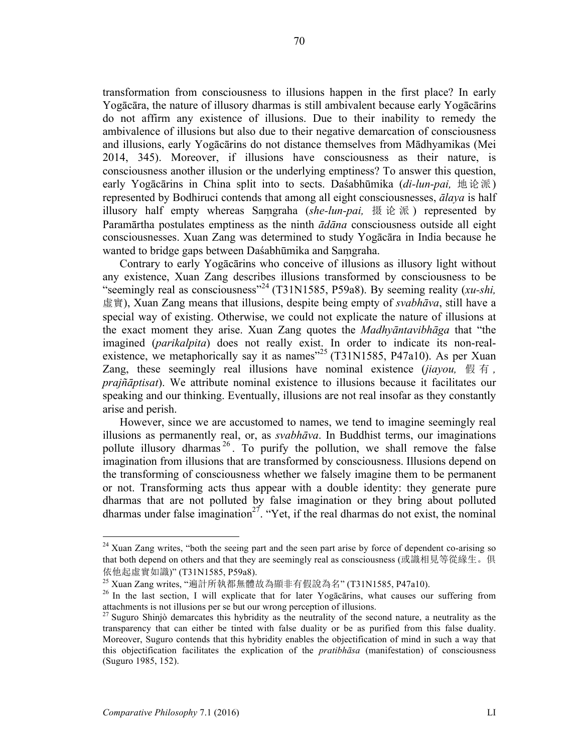transformation from consciousness to illusions happen in the first place? In early Yogācāra, the nature of illusory dharmas is still ambivalent because early Yogācārins do not affirm any existence of illusions. Due to their inability to remedy the ambivalence of illusions but also due to their negative demarcation of consciousness and illusions, early Yogācārins do not distance themselves from Mādhyamikas (Mei 2014, 345). Moreover, if illusions have consciousness as their nature, is consciousness another illusion or the underlying emptiness? To answer this question, early Yogācārins in China split into to sects. Daśabhūmika (*di-lun-pai,* 地论派) represented by Bodhiruci contends that among all eight consciousnesses, *ālaya* is half illusory half empty whereas Saṃgraha (*she-lun-pai,* 摄论派 ) represented by Paramārtha postulates emptiness as the ninth *ādāna* consciousness outside all eight consciousnesses. Xuan Zang was determined to study Yogācāra in India because he wanted to bridge gaps between Daśabhūmika and Saṃgraha.

Contrary to early Yogācārins who conceive of illusions as illusory light without any existence, Xuan Zang describes illusions transformed by consciousness to be "seemingly real as consciousness"<sup>24</sup> (T31N1585, P59a8). By seeming reality (*xu-shi,*  虛實), Xuan Zang means that illusions, despite being empty of *svabhāva*, still have a special way of existing. Otherwise, we could not explicate the nature of illusions at the exact moment they arise. Xuan Zang quotes the *Madhyāntavibhāga* that "the imagined (*parikalpita*) does not really exist. In order to indicate its non-realexistence, we metaphorically say it as names<sup> $25$ </sup> (T31N1585, P47a10). As per Xuan Zang, these seemingly real illusions have nominal existence (*jiayou,* 假 有 *, prajñāptisat*). We attribute nominal existence to illusions because it facilitates our speaking and our thinking. Eventually, illusions are not real insofar as they constantly arise and perish.

However, since we are accustomed to names, we tend to imagine seemingly real illusions as permanently real, or, as *svabhāva*. In Buddhist terms, our imaginations pollute illusory dharmas  $^{26}$ . To purify the pollution, we shall remove the false imagination from illusions that are transformed by consciousness. Illusions depend on the transforming of consciousness whether we falsely imagine them to be permanent or not. Transforming acts thus appear with a double identity: they generate pure dharmas that are not polluted by false imagination or they bring about polluted dharmas under false imagination<sup>27</sup>. "Yet, if the real dharmas do not exist, the nominal

<sup>&</sup>lt;sup>24</sup> Xuan Zang writes, "both the seeing part and the seen part arise by force of dependent co-arising so that both depend on others and that they are seemingly real as consciousness (或識相見等從緣生。俱 依他起虛實如識)" (T31N1585, P59a8).

 $^{25}$  Xuan Zang writes, "遍計所執都無體故為顯非有假說為名" (T31N1585, P47a10).

<sup>&</sup>lt;sup>26</sup> In the last section, I will explicate that for later Yogacarins, what causes our suffering from attachments is not illusions per se but our wrong perception of illusions.

<sup>&</sup>lt;sup>27</sup> Suguro Shinjò demarcates this hybridity as the neutrality of the second nature, a neutrality as the transparency that can either be tinted with false duality or be as purified from this false duality. Moreover, Suguro contends that this hybridity enables the objectification of mind in such a way that this objectification facilitates the explication of the *pratibhāsa* (manifestation) of consciousness (Suguro 1985, 152).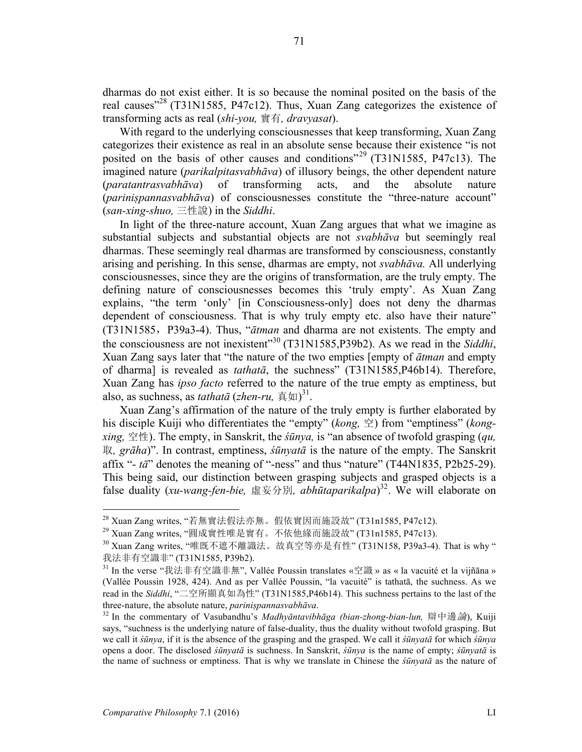dharmas do not exist either. It is so because the nominal posited on the basis of the real causes"<sup>28</sup> (T31N1585, P47c12). Thus, Xuan Zang categorizes the existence of transforming acts as real (*shi-you,* 實有*, dravyasat*).

With regard to the underlying consciousnesses that keep transforming, Xuan Zang categorizes their existence as real in an absolute sense because their existence "is not posited on the basis of other causes and conditions"<sup>29</sup> (T31N1585, P47c13). The imagined nature (*parikalpitasvabhāva*) of illusory beings, the other dependent nature (*paratantrasvabhāva*) of transforming acts, and the absolute nature (*pariniṣpannasvabhāva*) of consciousnesses constitute the "three-nature account" (*san-xing-shuo,* 三性說) in the *Siddhi*.

In light of the three-nature account, Xuan Zang argues that what we imagine as substantial subjects and substantial objects are not *svabhāva* but seemingly real dharmas. These seemingly real dharmas are transformed by consciousness, constantly arising and perishing. In this sense, dharmas are empty, not *svabhāva.* All underlying consciousnesses, since they are the origins of transformation, are the truly empty. The defining nature of consciousnesses becomes this 'truly empty'. As Xuan Zang explains, "the term 'only' [in Consciousness-only] does not deny the dharmas dependent of consciousness. That is why truly empty etc. also have their nature" (T31N1585,P39a3-4). Thus, "*ātman* and dharma are not existents. The empty and the consciousness are not inexistent"<sup>30</sup> (T31N1585,P39b2). As we read in the *Siddhi*, Xuan Zang says later that "the nature of the two empties [empty of *ātman* and empty of dharma] is revealed as *tathatā*, the suchness" (T31N1585,P46b14). Therefore, Xuan Zang has *ipso facto* referred to the nature of the true empty as emptiness, but also, as suchness, as *tathatā* (*zhen-ru,* 真如) 31.

Xuan Zang's affirmation of the nature of the truly empty is further elaborated by his disciple Kuiji who differentiates the "empty" (*kong,* 空) from "emptiness" (*kongxing,* 空性). The empty, in Sanskrit, the *śūnya,* is "an absence of twofold grasping (*qu,*  取*, grāha*)". In contrast, emptiness, *śūnyatā* is the nature of the empty. The Sanskrit affix "- *tā*" denotes the meaning of "-ness" and thus "nature" (T44N1835, P2b25-29). This being said, our distinction between grasping subjects and grasped objects is a false duality (*xu-wang-fen-bie,* 虛妄分別*, abhūtaparikalpa*) 32. We will elaborate on

<sup>&</sup>lt;sup>28</sup> Xuan Zang writes, "若無實法假法亦無。假依實因而施設故" (T31n1585, P47c12).

<sup>&</sup>lt;sup>29</sup> Xuan Zang writes, "圓成實性唯是實有。不依他緣而施設故" (T31n1585, P47c13).

 $30$  Xuan Zang writes, "唯既不遮不離識法。故真空等亦是有性" (T31N158, P39a3-4). That is why " 我法非有空識非" (T31N1585, P39b2).

<sup>31</sup> In the verse "我法非有空識非無", Vallée Poussin translates «空識 » as « la vacuité et la vijñāna » (Vallée Poussin 1928, 424). And as per Vallée Poussin, "la vacuité" is tathatā, the suchness. As we read in the *Siddhi*, "二空所顯真如為性" (T31N1585,P46b14). This suchness pertains to the last of the three-nature, the absolute nature, *pariniṣpannasvabhāva*. 32 In the commentary of Vasubandhu's *Madhyāntavibhāga (bian-zhong-bian-lun,* 辯中邊論), Kuiji

says, "suchness is the underlying nature of false-duality, thus the duality without twofold grasping. But we call it *śūnya*, if it is the absence of the grasping and the grasped. We call it *śūnyatā* for which *śūnya* opens a door. The disclosed *śūnyatā* is suchness. In Sanskrit, *śūnya* is the name of empty; *śūnyatā* is the name of suchness or emptiness. That is why we translate in Chinese the *śūnyatā* as the nature of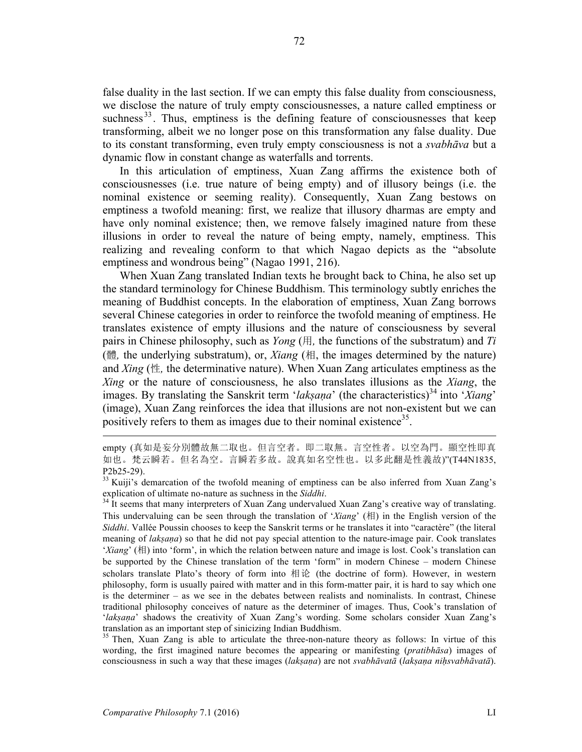false duality in the last section. If we can empty this false duality from consciousness, we disclose the nature of truly empty consciousnesses, a nature called emptiness or suchness<sup>33</sup>. Thus, emptiness is the defining feature of consciousnesses that keep transforming, albeit we no longer pose on this transformation any false duality. Due to its constant transforming, even truly empty consciousness is not a *svabhāva* but a dynamic flow in constant change as waterfalls and torrents.

In this articulation of emptiness, Xuan Zang affirms the existence both of consciousnesses (i.e. true nature of being empty) and of illusory beings (i.e. the nominal existence or seeming reality). Consequently, Xuan Zang bestows on emptiness a twofold meaning: first, we realize that illusory dharmas are empty and have only nominal existence; then, we remove falsely imagined nature from these illusions in order to reveal the nature of being empty, namely, emptiness. This realizing and revealing conform to that which Nagao depicts as the "absolute emptiness and wondrous being" (Nagao 1991, 216).

When Xuan Zang translated Indian texts he brought back to China, he also set up the standard terminology for Chinese Buddhism. This terminology subtly enriches the meaning of Buddhist concepts. In the elaboration of emptiness, Xuan Zang borrows several Chinese categories in order to reinforce the twofold meaning of emptiness. He translates existence of empty illusions and the nature of consciousness by several pairs in Chinese philosophy, such as *Yong* (用*,* the functions of the substratum) and *Ti* (體*,* the underlying substratum), or, *Xiang* (相, the images determined by the nature) and *Xing* (性*,* the determinative nature). When Xuan Zang articulates emptiness as the *Xing* or the nature of consciousness, he also translates illusions as the *Xiang*, the images. By translating the Sanskrit term '*laksana*' (the characteristics)<sup>34</sup> into '*Xiang*' (image), Xuan Zang reinforces the idea that illusions are not non-existent but we can positively refers to them as images due to their nominal existence<sup>35</sup>.

empty (真如是妄分別體故無二取也。但言空者。即二取無。言空性者。以空為門。顯空性即真 如也。梵云瞬若。但名為空。言瞬若多故。說真如名空性也。以多此翻是性義故)"(T44N1835, P2b25-29).<br><sup>33</sup> Kuiji's demarcation of the twofold meaning of emptiness can be also inferred from Xuan Zang's

explication of ultimate no-nature as suchness in the *Siddhi*.<br><sup>34</sup> It seems that many interpreters of Xuan Zang undervalued Xuan Zang's creative way of translating.

This undervaluing can be seen through the translation of '*Xiang*' (相) in the English version of the *Siddhi*. Vallée Poussin chooses to keep the Sanskrit terms or he translates it into "caractère" (the literal meaning of *lakṣaṇa*) so that he did not pay special attention to the nature-image pair. Cook translates '*Xiang*' (相) into 'form', in which the relation between nature and image is lost. Cook's translation can be supported by the Chinese translation of the term 'form" in modern Chinese – modern Chinese scholars translate Plato's theory of form into 相论 (the doctrine of form). However, in western philosophy, form is usually paired with matter and in this form-matter pair, it is hard to say which one is the determiner – as we see in the debates between realists and nominalists. In contrast, Chinese traditional philosophy conceives of nature as the determiner of images. Thus, Cook's translation of '*lakṣaṇa*' shadows the creativity of Xuan Zang's wording. Some scholars consider Xuan Zang's translation as an important step of sinicizing Indian Buddhism.

<sup>&</sup>lt;sup>35</sup> Then, Xuan Zang is able to articulate the three-non-nature theory as follows: In virtue of this wording, the first imagined nature becomes the appearing or manifesting (*pratibhāsa*) images of consciousness in such a way that these images (laksana) are not svabhāvatā (laksana nihsvabhāvatā).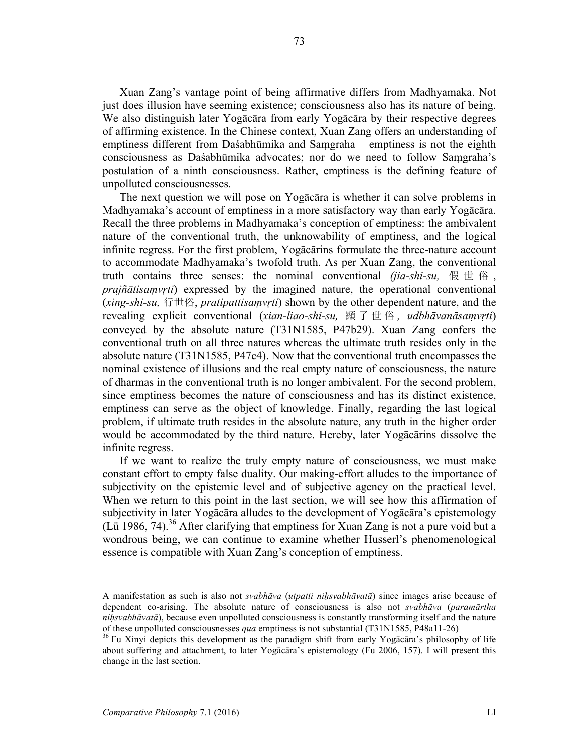Xuan Zang's vantage point of being affirmative differs from Madhyamaka. Not just does illusion have seeming existence; consciousness also has its nature of being. We also distinguish later Yogācāra from early Yogācāra by their respective degrees of affirming existence. In the Chinese context, Xuan Zang offers an understanding of emptiness different from Daśabhūmika and Saṃgraha – emptiness is not the eighth consciousness as Daśabhūmika advocates; nor do we need to follow Saṃgraha's postulation of a ninth consciousness. Rather, emptiness is the defining feature of unpolluted consciousnesses.

The next question we will pose on Yogācāra is whether it can solve problems in Madhyamaka's account of emptiness in a more satisfactory way than early Yogācāra. Recall the three problems in Madhyamaka's conception of emptiness: the ambivalent nature of the conventional truth, the unknowability of emptiness, and the logical infinite regress. For the first problem, Yogācārins formulate the three-nature account to accommodate Madhyamaka's twofold truth. As per Xuan Zang, the conventional truth contains three senses: the nominal conventional *(jia-shi-su,* 假世俗 , *prajñātisaṃvṛti*) expressed by the imagined nature, the operational conventional (*xing-shi-su,* 行世俗, *pratipattisaṃvṛti*) shown by the other dependent nature, and the revealing explicit conventional (*xian-liao-shi-su,* 顯了世俗 *, udbhāvanāsaṃvṛti*) conveyed by the absolute nature (T31N1585, P47b29). Xuan Zang confers the conventional truth on all three natures whereas the ultimate truth resides only in the absolute nature (T31N1585, P47c4). Now that the conventional truth encompasses the nominal existence of illusions and the real empty nature of consciousness, the nature of dharmas in the conventional truth is no longer ambivalent. For the second problem, since emptiness becomes the nature of consciousness and has its distinct existence, emptiness can serve as the object of knowledge. Finally, regarding the last logical problem, if ultimate truth resides in the absolute nature, any truth in the higher order would be accommodated by the third nature. Hereby, later Yogācārins dissolve the infinite regress.

If we want to realize the truly empty nature of consciousness, we must make constant effort to empty false duality. Our making-effort alludes to the importance of subjectivity on the epistemic level and of subjective agency on the practical level. When we return to this point in the last section, we will see how this affirmation of subjectivity in later Yogācāra alludes to the development of Yogācāra's epistemology (Lü 1986, 74). <sup>36</sup> After clarifying that emptiness for Xuan Zang is not a pure void but a wondrous being, we can continue to examine whether Husserl's phenomenological essence is compatible with Xuan Zang's conception of emptiness.

A manifestation as such is also not *svabhāva* (*utpatti niḥsvabhāvatā*) since images arise because of dependent co-arising. The absolute nature of consciousness is also not *svabhāva* (*paramārtha niḥsvabhāvatā*), because even unpolluted consciousness is constantly transforming itself and the nature of these unpolluted consciousnesses *qua* emptiness is not substantial (T31N1585, P48a11-26) <sup>36</sup> Fu Xinvi depicts this development as the paradigm shift from early Yogācāra's philosophy of life

about suffering and attachment, to later Yogācāra's epistemology (Fu 2006, 157). I will present this change in the last section.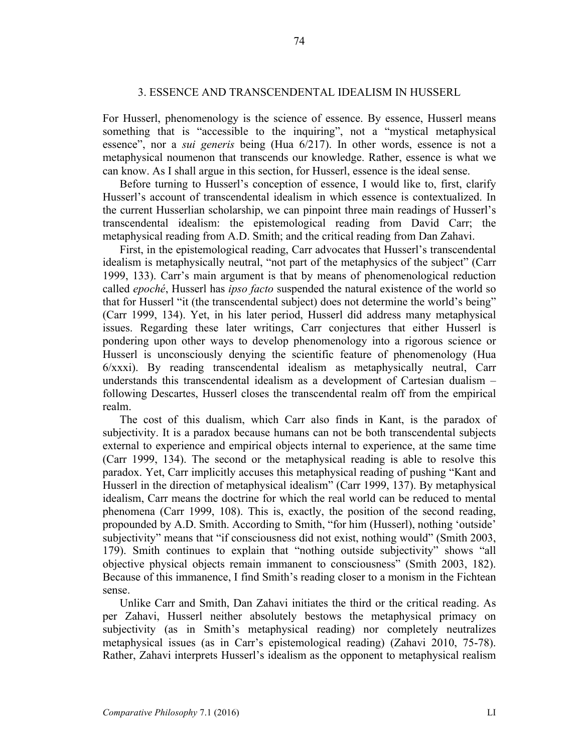#### 3. ESSENCE AND TRANSCENDENTAL IDEALISM IN HUSSERL

For Husserl, phenomenology is the science of essence. By essence, Husserl means something that is "accessible to the inquiring", not a "mystical metaphysical essence", nor a *sui generis* being (Hua 6/217). In other words, essence is not a metaphysical noumenon that transcends our knowledge. Rather, essence is what we can know. As I shall argue in this section, for Husserl, essence is the ideal sense.

Before turning to Husserl's conception of essence, I would like to, first, clarify Husserl's account of transcendental idealism in which essence is contextualized. In the current Husserlian scholarship, we can pinpoint three main readings of Husserl's transcendental idealism: the epistemological reading from David Carr; the metaphysical reading from A.D. Smith; and the critical reading from Dan Zahavi.

First, in the epistemological reading, Carr advocates that Husserl's transcendental idealism is metaphysically neutral, "not part of the metaphysics of the subject" (Carr 1999, 133). Carr's main argument is that by means of phenomenological reduction called *epoché*, Husserl has *ipso facto* suspended the natural existence of the world so that for Husserl "it (the transcendental subject) does not determine the world's being" (Carr 1999, 134). Yet, in his later period, Husserl did address many metaphysical issues. Regarding these later writings, Carr conjectures that either Husserl is pondering upon other ways to develop phenomenology into a rigorous science or Husserl is unconsciously denying the scientific feature of phenomenology (Hua 6/xxxi). By reading transcendental idealism as metaphysically neutral, Carr understands this transcendental idealism as a development of Cartesian dualism – following Descartes, Husserl closes the transcendental realm off from the empirical realm.

The cost of this dualism, which Carr also finds in Kant, is the paradox of subjectivity. It is a paradox because humans can not be both transcendental subjects external to experience and empirical objects internal to experience, at the same time (Carr 1999, 134). The second or the metaphysical reading is able to resolve this paradox. Yet, Carr implicitly accuses this metaphysical reading of pushing "Kant and Husserl in the direction of metaphysical idealism" (Carr 1999, 137). By metaphysical idealism, Carr means the doctrine for which the real world can be reduced to mental phenomena (Carr 1999, 108). This is, exactly, the position of the second reading, propounded by A.D. Smith. According to Smith, "for him (Husserl), nothing 'outside' subjectivity" means that "if consciousness did not exist, nothing would" (Smith 2003, 179). Smith continues to explain that "nothing outside subjectivity" shows "all objective physical objects remain immanent to consciousness" (Smith 2003, 182). Because of this immanence, I find Smith's reading closer to a monism in the Fichtean sense.

Unlike Carr and Smith, Dan Zahavi initiates the third or the critical reading. As per Zahavi, Husserl neither absolutely bestows the metaphysical primacy on subjectivity (as in Smith's metaphysical reading) nor completely neutralizes metaphysical issues (as in Carr's epistemological reading) (Zahavi 2010, 75-78). Rather, Zahavi interprets Husserl's idealism as the opponent to metaphysical realism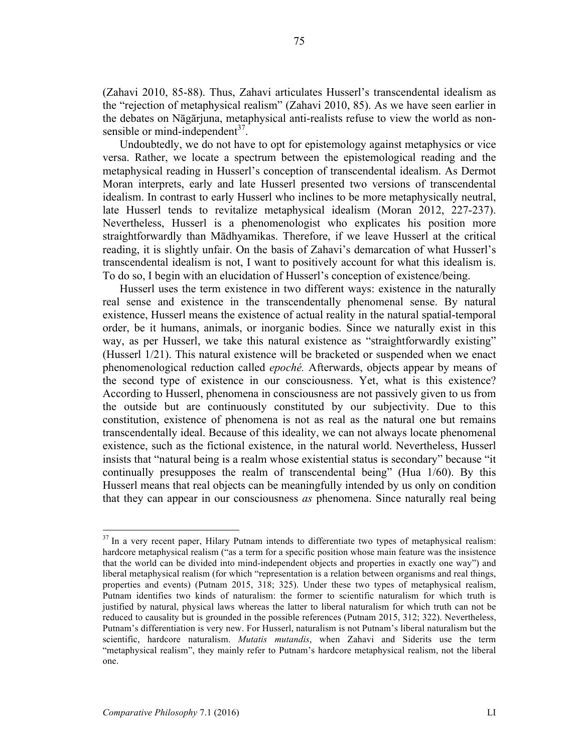75

(Zahavi 2010, 85-88). Thus, Zahavi articulates Husserl's transcendental idealism as the "rejection of metaphysical realism" (Zahavi 2010, 85). As we have seen earlier in the debates on Nāgārjuna, metaphysical anti-realists refuse to view the world as nonsensible or mind-independent $37$ .

Undoubtedly, we do not have to opt for epistemology against metaphysics or vice versa. Rather, we locate a spectrum between the epistemological reading and the metaphysical reading in Husserl's conception of transcendental idealism. As Dermot Moran interprets, early and late Husserl presented two versions of transcendental idealism. In contrast to early Husserl who inclines to be more metaphysically neutral, late Husserl tends to revitalize metaphysical idealism (Moran 2012, 227-237). Nevertheless, Husserl is a phenomenologist who explicates his position more straightforwardly than Mādhyamikas. Therefore, if we leave Husserl at the critical reading, it is slightly unfair. On the basis of Zahavi's demarcation of what Husserl's transcendental idealism is not, I want to positively account for what this idealism is. To do so, I begin with an elucidation of Husserl's conception of existence/being.

Husserl uses the term existence in two different ways: existence in the naturally real sense and existence in the transcendentally phenomenal sense. By natural existence, Husserl means the existence of actual reality in the natural spatial-temporal order, be it humans, animals, or inorganic bodies. Since we naturally exist in this way, as per Husserl, we take this natural existence as "straightforwardly existing" (Husserl 1/21). This natural existence will be bracketed or suspended when we enact phenomenological reduction called *epoché.* Afterwards, objects appear by means of the second type of existence in our consciousness. Yet, what is this existence? According to Husserl, phenomena in consciousness are not passively given to us from the outside but are continuously constituted by our subjectivity. Due to this constitution, existence of phenomena is not as real as the natural one but remains transcendentally ideal. Because of this ideality, we can not always locate phenomenal existence, such as the fictional existence, in the natural world. Nevertheless, Husserl insists that "natural being is a realm whose existential status is secondary" because "it continually presupposes the realm of transcendental being" (Hua 1/60). By this Husserl means that real objects can be meaningfully intended by us only on condition that they can appear in our consciousness *as* phenomena. Since naturally real being

 $37$  In a very recent paper, Hilary Putnam intends to differentiate two types of metaphysical realism: hardcore metaphysical realism ("as a term for a specific position whose main feature was the insistence that the world can be divided into mind-independent objects and properties in exactly one way") and liberal metaphysical realism (for which "representation is a relation between organisms and real things, properties and events) (Putnam 2015, 318; 325). Under these two types of metaphysical realism, Putnam identifies two kinds of naturalism: the former to scientific naturalism for which truth is justified by natural, physical laws whereas the latter to liberal naturalism for which truth can not be reduced to causality but is grounded in the possible references (Putnam 2015, 312; 322). Nevertheless, Putnam's differentiation is very new. For Husserl, naturalism is not Putnam's liberal naturalism but the scientific, hardcore naturalism. *Mutatis mutandis*, when Zahavi and Siderits use the term "metaphysical realism", they mainly refer to Putnam's hardcore metaphysical realism, not the liberal one.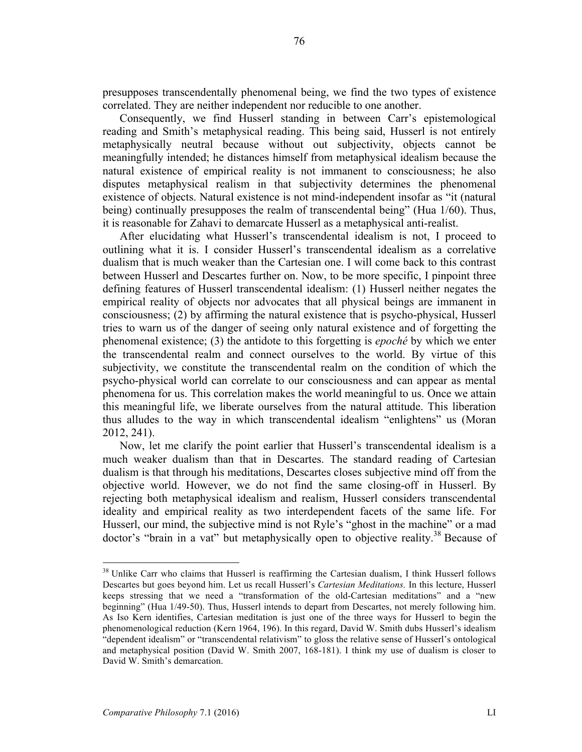presupposes transcendentally phenomenal being, we find the two types of existence correlated. They are neither independent nor reducible to one another.

Consequently, we find Husserl standing in between Carr's epistemological reading and Smith's metaphysical reading. This being said, Husserl is not entirely metaphysically neutral because without out subjectivity, objects cannot be meaningfully intended; he distances himself from metaphysical idealism because the natural existence of empirical reality is not immanent to consciousness; he also disputes metaphysical realism in that subjectivity determines the phenomenal existence of objects. Natural existence is not mind-independent insofar as "it (natural being) continually presupposes the realm of transcendental being" (Hua 1/60). Thus, it is reasonable for Zahavi to demarcate Husserl as a metaphysical anti-realist.

After elucidating what Husserl's transcendental idealism is not, I proceed to outlining what it is. I consider Husserl's transcendental idealism as a correlative dualism that is much weaker than the Cartesian one. I will come back to this contrast between Husserl and Descartes further on. Now, to be more specific, I pinpoint three defining features of Husserl transcendental idealism: (1) Husserl neither negates the empirical reality of objects nor advocates that all physical beings are immanent in consciousness; (2) by affirming the natural existence that is psycho-physical, Husserl tries to warn us of the danger of seeing only natural existence and of forgetting the phenomenal existence; (3) the antidote to this forgetting is *epoché* by which we enter the transcendental realm and connect ourselves to the world. By virtue of this subjectivity, we constitute the transcendental realm on the condition of which the psycho-physical world can correlate to our consciousness and can appear as mental phenomena for us. This correlation makes the world meaningful to us. Once we attain this meaningful life, we liberate ourselves from the natural attitude. This liberation thus alludes to the way in which transcendental idealism "enlightens" us (Moran 2012, 241).

Now, let me clarify the point earlier that Husserl's transcendental idealism is a much weaker dualism than that in Descartes. The standard reading of Cartesian dualism is that through his meditations, Descartes closes subjective mind off from the objective world. However, we do not find the same closing-off in Husserl. By rejecting both metaphysical idealism and realism, Husserl considers transcendental ideality and empirical reality as two interdependent facets of the same life. For Husserl, our mind, the subjective mind is not Ryle's "ghost in the machine" or a mad doctor's "brain in a vat" but metaphysically open to objective reality.<sup>38</sup> Because of

<sup>&</sup>lt;sup>38</sup> Unlike Carr who claims that Husserl is reaffirming the Cartesian dualism, I think Husserl follows Descartes but goes beyond him. Let us recall Husserl's *Cartesian Meditations.* In this lecture, Husserl keeps stressing that we need a "transformation of the old-Cartesian meditations" and a "new beginning" (Hua 1/49-50). Thus, Husserl intends to depart from Descartes, not merely following him. As Iso Kern identifies, Cartesian meditation is just one of the three ways for Husserl to begin the phenomenological reduction (Kern 1964, 196). In this regard, David W. Smith dubs Husserl's idealism "dependent idealism" or "transcendental relativism" to gloss the relative sense of Husserl's ontological and metaphysical position (David W. Smith 2007, 168-181). I think my use of dualism is closer to David W. Smith's demarcation.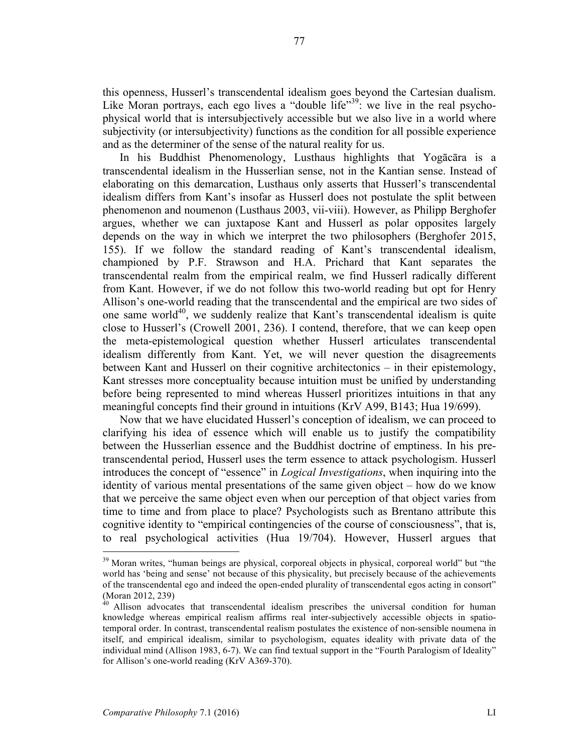this openness, Husserl's transcendental idealism goes beyond the Cartesian dualism. Like Moran portrays, each ego lives a "double life"<sup>39</sup>: we live in the real psychophysical world that is intersubjectively accessible but we also live in a world where subjectivity (or intersubjectivity) functions as the condition for all possible experience and as the determiner of the sense of the natural reality for us.

In his Buddhist Phenomenology, Lusthaus highlights that Yogācāra is a transcendental idealism in the Husserlian sense, not in the Kantian sense. Instead of elaborating on this demarcation, Lusthaus only asserts that Husserl's transcendental idealism differs from Kant's insofar as Husserl does not postulate the split between phenomenon and noumenon (Lusthaus 2003, vii-viii). However, as Philipp Berghofer argues, whether we can juxtapose Kant and Husserl as polar opposites largely depends on the way in which we interpret the two philosophers (Berghofer 2015, 155). If we follow the standard reading of Kant's transcendental idealism, championed by P.F. Strawson and H.A. Prichard that Kant separates the transcendental realm from the empirical realm, we find Husserl radically different from Kant. However, if we do not follow this two-world reading but opt for Henry Allison's one-world reading that the transcendental and the empirical are two sides of one same world $40$ , we suddenly realize that Kant's transcendental idealism is quite close to Husserl's (Crowell 2001, 236). I contend, therefore, that we can keep open the meta-epistemological question whether Husserl articulates transcendental idealism differently from Kant. Yet, we will never question the disagreements between Kant and Husserl on their cognitive architectonics – in their epistemology, Kant stresses more conceptuality because intuition must be unified by understanding before being represented to mind whereas Husserl prioritizes intuitions in that any meaningful concepts find their ground in intuitions (KrV A99, B143; Hua 19/699).

Now that we have elucidated Husserl's conception of idealism, we can proceed to clarifying his idea of essence which will enable us to justify the compatibility between the Husserlian essence and the Buddhist doctrine of emptiness. In his pretranscendental period, Husserl uses the term essence to attack psychologism. Husserl introduces the concept of "essence" in *Logical Investigations*, when inquiring into the identity of various mental presentations of the same given object – how do we know that we perceive the same object even when our perception of that object varies from time to time and from place to place? Psychologists such as Brentano attribute this cognitive identity to "empirical contingencies of the course of consciousness", that is, to real psychological activities (Hua 19/704). However, Husserl argues that

<sup>&</sup>lt;sup>39</sup> Moran writes, "human beings are physical, corporeal objects in physical, corporeal world" but "the world has 'being and sense' not because of this physicality, but precisely because of the achievements of the transcendental ego and indeed the open-ended plurality of transcendental egos acting in consort" (Moran 2012, 239)

 $40$  Allison advocates that transcendental idealism prescribes the universal condition for human knowledge whereas empirical realism affirms real inter-subjectively accessible objects in spatiotemporal order. In contrast, transcendental realism postulates the existence of non-sensible noumena in itself, and empirical idealism, similar to psychologism, equates ideality with private data of the individual mind (Allison 1983, 6-7). We can find textual support in the "Fourth Paralogism of Ideality" for Allison's one-world reading (KrV A369-370).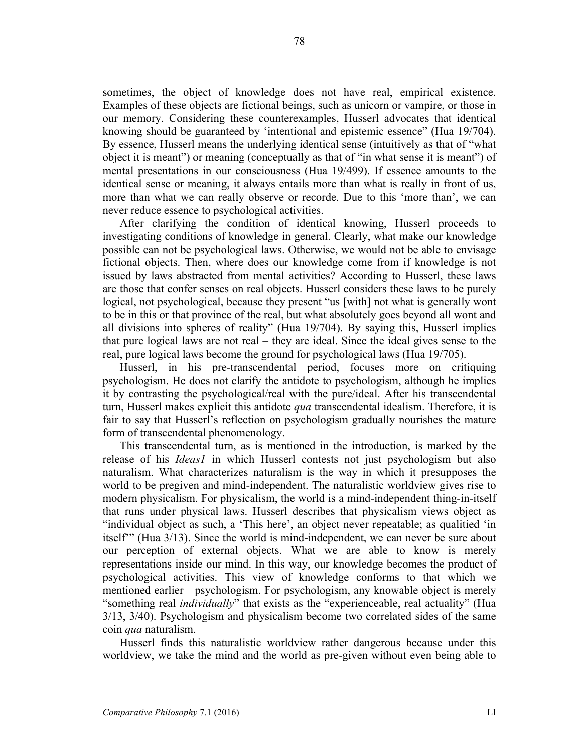sometimes, the object of knowledge does not have real, empirical existence. Examples of these objects are fictional beings, such as unicorn or vampire, or those in our memory. Considering these counterexamples, Husserl advocates that identical knowing should be guaranteed by 'intentional and epistemic essence" (Hua 19/704). By essence, Husserl means the underlying identical sense (intuitively as that of "what object it is meant") or meaning (conceptually as that of "in what sense it is meant") of mental presentations in our consciousness (Hua 19/499). If essence amounts to the identical sense or meaning, it always entails more than what is really in front of us, more than what we can really observe or recorde. Due to this 'more than', we can never reduce essence to psychological activities.

After clarifying the condition of identical knowing, Husserl proceeds to investigating conditions of knowledge in general. Clearly, what make our knowledge possible can not be psychological laws. Otherwise, we would not be able to envisage fictional objects. Then, where does our knowledge come from if knowledge is not issued by laws abstracted from mental activities? According to Husserl, these laws are those that confer senses on real objects. Husserl considers these laws to be purely logical, not psychological, because they present "us [with] not what is generally wont to be in this or that province of the real, but what absolutely goes beyond all wont and all divisions into spheres of reality" (Hua 19/704). By saying this, Husserl implies that pure logical laws are not real – they are ideal. Since the ideal gives sense to the real, pure logical laws become the ground for psychological laws (Hua 19/705).

Husserl, in his pre-transcendental period, focuses more on critiquing psychologism. He does not clarify the antidote to psychologism, although he implies it by contrasting the psychological/real with the pure/ideal. After his transcendental turn, Husserl makes explicit this antidote *qua* transcendental idealism. Therefore, it is fair to say that Husserl's reflection on psychologism gradually nourishes the mature form of transcendental phenomenology.

This transcendental turn, as is mentioned in the introduction, is marked by the release of his *Ideas1* in which Husserl contests not just psychologism but also naturalism. What characterizes naturalism is the way in which it presupposes the world to be pregiven and mind-independent. The naturalistic worldview gives rise to modern physicalism. For physicalism, the world is a mind-independent thing-in-itself that runs under physical laws. Husserl describes that physicalism views object as "individual object as such, a 'This here', an object never repeatable; as qualitied 'in itself'" (Hua 3/13). Since the world is mind-independent, we can never be sure about our perception of external objects. What we are able to know is merely representations inside our mind. In this way, our knowledge becomes the product of psychological activities. This view of knowledge conforms to that which we mentioned earlier—psychologism. For psychologism, any knowable object is merely "something real *individually*" that exists as the "experienceable, real actuality" (Hua 3/13, 3/40). Psychologism and physicalism become two correlated sides of the same coin *qua* naturalism.

Husserl finds this naturalistic worldview rather dangerous because under this worldview, we take the mind and the world as pre-given without even being able to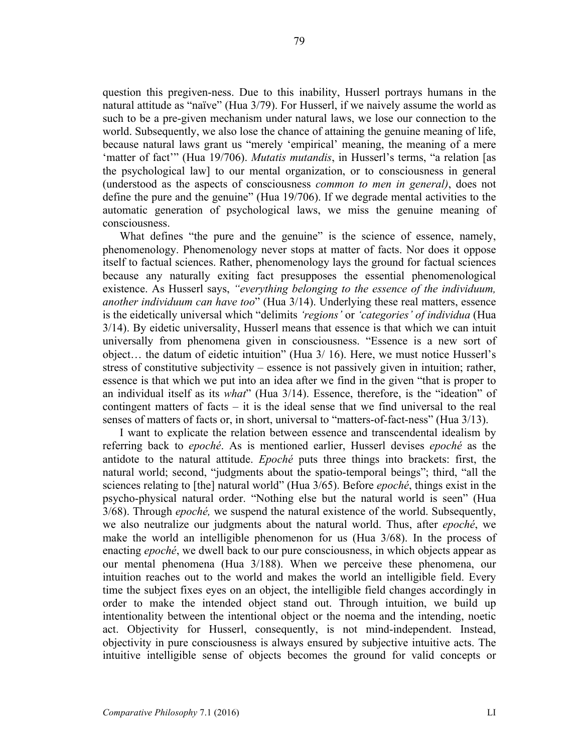question this pregiven-ness. Due to this inability, Husserl portrays humans in the natural attitude as "naïve" (Hua 3/79). For Husserl, if we naively assume the world as such to be a pre-given mechanism under natural laws, we lose our connection to the world. Subsequently, we also lose the chance of attaining the genuine meaning of life, because natural laws grant us "merely 'empirical' meaning, the meaning of a mere 'matter of fact'" (Hua 19/706). *Mutatis mutandis*, in Husserl's terms, "a relation [as the psychological law] to our mental organization, or to consciousness in general (understood as the aspects of consciousness *common to men in general)*, does not define the pure and the genuine" (Hua 19/706). If we degrade mental activities to the automatic generation of psychological laws, we miss the genuine meaning of consciousness.

What defines "the pure and the genuine" is the science of essence, namely, phenomenology. Phenomenology never stops at matter of facts. Nor does it oppose itself to factual sciences. Rather, phenomenology lays the ground for factual sciences because any naturally exiting fact presupposes the essential phenomenological existence. As Husserl says, *"everything belonging to the essence of the individuum, another individuum can have too*" (Hua 3/14). Underlying these real matters, essence is the eidetically universal which "delimits *'regions'* or *'categories' of individua* (Hua 3/14). By eidetic universality, Husserl means that essence is that which we can intuit universally from phenomena given in consciousness. "Essence is a new sort of object… the datum of eidetic intuition" (Hua 3/ 16). Here, we must notice Husserl's stress of constitutive subjectivity – essence is not passively given in intuition; rather, essence is that which we put into an idea after we find in the given "that is proper to an individual itself as its *what*" (Hua 3/14). Essence, therefore, is the "ideation" of contingent matters of facts – it is the ideal sense that we find universal to the real senses of matters of facts or, in short, universal to "matters-of-fact-ness" (Hua 3/13).

I want to explicate the relation between essence and transcendental idealism by referring back to *epoché*. As is mentioned earlier, Husserl devises *epoché* as the antidote to the natural attitude. *Epoché* puts three things into brackets: first, the natural world; second, "judgments about the spatio-temporal beings"; third, "all the sciences relating to [the] natural world" (Hua 3/65). Before *epoché*, things exist in the psycho-physical natural order. "Nothing else but the natural world is seen" (Hua 3/68). Through *epoché,* we suspend the natural existence of the world. Subsequently, we also neutralize our judgments about the natural world. Thus, after *epoché*, we make the world an intelligible phenomenon for us (Hua 3/68). In the process of enacting *epoché*, we dwell back to our pure consciousness, in which objects appear as our mental phenomena (Hua 3/188). When we perceive these phenomena, our intuition reaches out to the world and makes the world an intelligible field. Every time the subject fixes eyes on an object, the intelligible field changes accordingly in order to make the intended object stand out. Through intuition, we build up intentionality between the intentional object or the noema and the intending, noetic act. Objectivity for Husserl, consequently, is not mind-independent. Instead, objectivity in pure consciousness is always ensured by subjective intuitive acts. The intuitive intelligible sense of objects becomes the ground for valid concepts or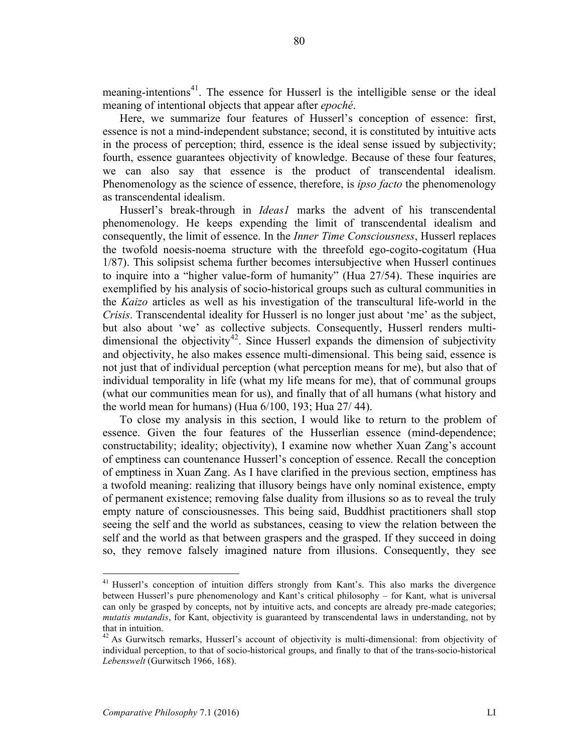meaning-intentions<sup>41</sup>. The essence for Husserl is the intelligible sense or the ideal meaning of intentional objects that appear after *epoché*.

Here, we summarize four features of Husserl's conception of essence: first, essence is not a mind-independent substance; second, it is constituted by intuitive acts in the process of perception; third, essence is the ideal sense issued by subjectivity; fourth, essence guarantees objectivity of knowledge. Because of these four features, we can also say that essence is the product of transcendental idealism. Phenomenology as the science of essence, therefore, is *ipso facto* the phenomenology as transcendental idealism.

Husserl's break-through in *Ideas1* marks the advent of his transcendental phenomenology. He keeps expending the limit of transcendental idealism and consequently, the limit of essence. In the *Inner Time Consciousness*, Husserl replaces the twofold noesis-noema structure with the threefold ego-cogito-cogitatum (Hua 1/87). This solipsist schema further becomes intersubjective when Husserl continues to inquire into a "higher value-form of humanity" (Hua 27/54). These inquiries are exemplified by his analysis of socio-historical groups such as cultural communities in the *Kaizo* articles as well as his investigation of the transcultural life-world in the *Crisis*. Transcendental ideality for Husserl is no longer just about 'me' as the subject, but also about 'we' as collective subjects. Consequently, Husserl renders multidimensional the objectivity<sup>42</sup>. Since Husserl expands the dimension of subjectivity and objectivity, he also makes essence multi-dimensional. This being said, essence is not just that of individual perception (what perception means for me), but also that of individual temporality in life (what my life means for me), that of communal groups (what our communities mean for us), and finally that of all humans (what history and the world mean for humans) (Hua 6/100, 193; Hua 27/ 44).

To close my analysis in this section, I would like to return to the problem of essence. Given the four features of the Husserlian essence (mind-dependence; constructability; ideality; objectivity), I examine now whether Xuan Zang's account of emptiness can countenance Husserl's conception of essence. Recall the conception of emptiness in Xuan Zang. As I have clarified in the previous section, emptiness has a twofold meaning: realizing that illusory beings have only nominal existence, empty of permanent existence; removing false duality from illusions so as to reveal the truly empty nature of consciousnesses. This being said, Buddhist practitioners shall stop seeing the self and the world as substances, ceasing to view the relation between the self and the world as that between graspers and the grasped. If they succeed in doing so, they remove falsely imagined nature from illusions. Consequently, they see

<sup>&</sup>lt;sup>41</sup> Husserl's conception of intuition differs strongly from Kant's. This also marks the divergence between Husserl's pure phenomenology and Kant's critical philosophy – for Kant, what is universal can only be grasped by concepts, not by intuitive acts, and concepts are already pre-made categories; *mutatis mutandis*, for Kant, objectivity is guaranteed by transcendental laws in understanding, not by that in intuition.

 $42$  As Gurwitsch remarks, Husserl's account of objectivity is multi-dimensional: from objectivity of individual perception, to that of socio-historical groups, and finally to that of the trans-socio-historical *Lebenswelt* (Gurwitsch 1966, 168).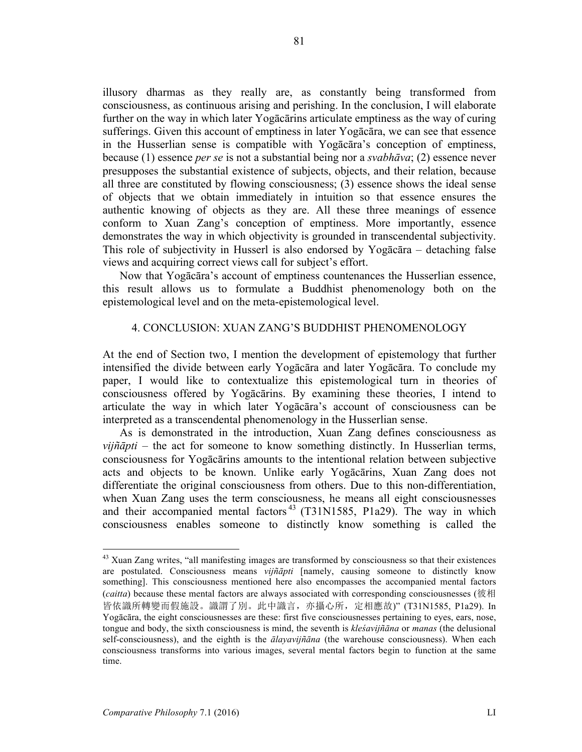illusory dharmas as they really are, as constantly being transformed from consciousness, as continuous arising and perishing. In the conclusion, I will elaborate further on the way in which later Yogācārins articulate emptiness as the way of curing sufferings. Given this account of emptiness in later Yogācāra, we can see that essence in the Husserlian sense is compatible with Yogācāra's conception of emptiness, because (1) essence *per se* is not a substantial being nor a *svabhāva*; (2) essence never presupposes the substantial existence of subjects, objects, and their relation, because all three are constituted by flowing consciousness; (3) essence shows the ideal sense of objects that we obtain immediately in intuition so that essence ensures the authentic knowing of objects as they are. All these three meanings of essence conform to Xuan Zang's conception of emptiness. More importantly, essence demonstrates the way in which objectivity is grounded in transcendental subjectivity. This role of subjectivity in Husserl is also endorsed by Yogācāra – detaching false views and acquiring correct views call for subject's effort.

Now that Yogācāra's account of emptiness countenances the Husserlian essence, this result allows us to formulate a Buddhist phenomenology both on the epistemological level and on the meta-epistemological level.

#### 4. CONCLUSION: XUAN ZANG'S BUDDHIST PHENOMENOLOGY

At the end of Section two, I mention the development of epistemology that further intensified the divide between early Yogācāra and later Yogācāra. To conclude my paper, I would like to contextualize this epistemological turn in theories of consciousness offered by Yogācārins. By examining these theories, I intend to articulate the way in which later Yogācāra's account of consciousness can be interpreted as a transcendental phenomenology in the Husserlian sense.

As is demonstrated in the introduction, Xuan Zang defines consciousness as  $vi\tilde{n}\bar{a}pti$  – the act for someone to know something distinctly. In Husserlian terms, consciousness for Yogācārins amounts to the intentional relation between subjective acts and objects to be known. Unlike early Yogācārins, Xuan Zang does not differentiate the original consciousness from others. Due to this non-differentiation, when Xuan Zang uses the term consciousness, he means all eight consciousnesses and their accompanied mental factors<sup>43</sup> (T31N1585, P1a29). The way in which consciousness enables someone to distinctly know something is called the

 $43$  Xuan Zang writes, "all manifesting images are transformed by consciousness so that their existences are postulated. Consciousness means *vijñāpti* [namely, causing someone to distinctly know something]. This consciousness mentioned here also encompasses the accompanied mental factors (*caitta*) because these mental factors are always associated with corresponding consciousnesses (彼相 皆依識所轉變而假施設。識謂了別。此中識言,亦攝心所,定相應故)" (T31N1585, P1a29). In Yogācāra, the eight consciousnesses are these: first five consciousnesses pertaining to eyes, ears, nose, tongue and body, the sixth consciousness is mind, the seventh is *kleśavijñāna* or *manas* (the delusional self-consciousness), and the eighth is the *ālayavijñāna* (the warehouse consciousness). When each consciousness transforms into various images, several mental factors begin to function at the same time.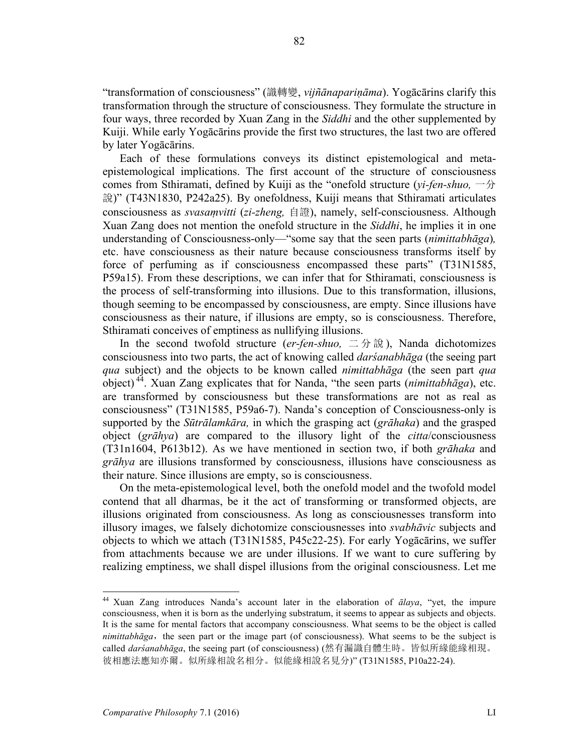"transformation of consciousness" (識轉變, *vijñānapariṇāma*). Yogācārins clarify this transformation through the structure of consciousness. They formulate the structure in four ways, three recorded by Xuan Zang in the *Siddhi* and the other supplemented by Kuiji. While early Yogācārins provide the first two structures, the last two are offered by later Yogācārins.

Each of these formulations conveys its distinct epistemological and metaepistemological implications. The first account of the structure of consciousness comes from Sthiramati, defined by Kuiji as the "onefold structure (*yi-fen-shuo,* 一分 說)" (T43N1830, P242a25). By onefoldness, Kuiji means that Sthiramati articulates consciousness as *svasaṃvitti* (*zi-zheng,* 自證), namely, self-consciousness. Although Xuan Zang does not mention the onefold structure in the *Siddhi*, he implies it in one understanding of Consciousness-only—"some say that the seen parts (*nimittabhāga*)*,* etc. have consciousness as their nature because consciousness transforms itself by force of perfuming as if consciousness encompassed these parts" (T31N1585, P59a15). From these descriptions, we can infer that for Sthiramati, consciousness is the process of self-transforming into illusions. Due to this transformation, illusions, though seeming to be encompassed by consciousness, are empty. Since illusions have consciousness as their nature, if illusions are empty, so is consciousness. Therefore, Sthiramati conceives of emptiness as nullifying illusions.

In the second twofold structure (*er-fen-shuo,* 二分說 ), Nanda dichotomizes consciousness into two parts, the act of knowing called *darśanabhāga* (the seeing part *qua* subject) and the objects to be known called *nimittabhāga* (the seen part *qua*  object) 44. Xuan Zang explicates that for Nanda, "the seen parts (*nimittabhāga*), etc. are transformed by consciousness but these transformations are not as real as consciousness" (T31N1585, P59a6-7). Nanda's conception of Consciousness-only is supported by the *Sūtrālamkāra,* in which the grasping act (*grāhaka*) and the grasped object (*grāhya*) are compared to the illusory light of the *citta*/consciousness (T31n1604, P613b12). As we have mentioned in section two, if both *grāhaka* and *grāhya* are illusions transformed by consciousness, illusions have consciousness as their nature. Since illusions are empty, so is consciousness.

On the meta-epistemological level, both the onefold model and the twofold model contend that all dharmas, be it the act of transforming or transformed objects, are illusions originated from consciousness. As long as consciousnesses transform into illusory images, we falsely dichotomize consciousnesses into *svabhāvic* subjects and objects to which we attach (T31N1585, P45c22-25). For early Yogācārins, we suffer from attachments because we are under illusions. If we want to cure suffering by realizing emptiness, we shall dispel illusions from the original consciousness. Let me

 <sup>44</sup> Xuan Zang introduces Nanda's account later in the elaboration of *<sup>ā</sup>laya*, "yet, the impure consciousness, when it is born as the underlying substratum, it seems to appear as subjects and objects. It is the same for mental factors that accompany consciousness. What seems to be the object is called *nimittabhãga*, the seen part or the image part (of consciousness). What seems to be the subject is called *darśanabhāga*, the seeing part (of consciousness) (然有漏識自體生時。皆似所緣能緣相現。 彼相應法應知亦爾。似所緣相說名相分。似能緣相說名見分)" (T31N1585, P10a22-24).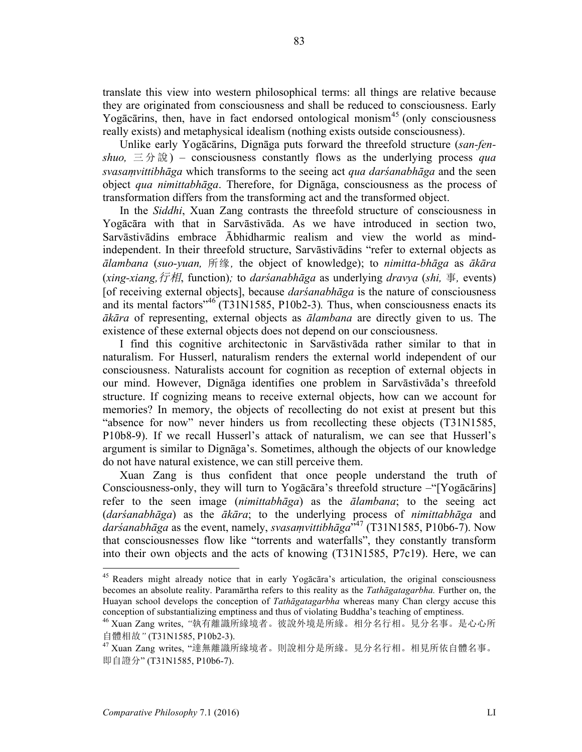translate this view into western philosophical terms: all things are relative because they are originated from consciousness and shall be reduced to consciousness. Early Yogācārins, then, have in fact endorsed ontological monism<sup>45</sup> (only consciousness really exists) and metaphysical idealism (nothing exists outside consciousness).

Unlike early Yogācārins, Dignāga puts forward the threefold structure (*san-fenshuo,* 三分說 ) – consciousness constantly flows as the underlying process *qua svasaṃvittibhāga* which transforms to the seeing act *qua darśanabhāga* and the seen object *qua nimittabhāga*. Therefore, for Dignāga, consciousness as the process of transformation differs from the transforming act and the transformed object.

In the *Siddhi*, Xuan Zang contrasts the threefold structure of consciousness in Yogācāra with that in Sarvāstivāda. As we have introduced in section two, Sarvāstivādins embrace Ābhidharmic realism and view the world as mindindependent. In their threefold structure, Sarvāstivādins "refer to external objects as *ālambana* (*suo-yuan,* 所缘*,* the object of knowledge); to *nimitta-bhāga* as *ākāra* (*xing-xiang,*行相, function)*;* to *darśanabhāga* as underlying *dravya* (*shi,* 事*,* events) [of receiving external objects], because *darśanabhāga* is the nature of consciousness and its mental factors<sup>346</sup> (T31N1585, P10b2-3). Thus, when consciousness enacts its *ākāra* of representing, external objects as *ālambana* are directly given to us. The existence of these external objects does not depend on our consciousness.

I find this cognitive architectonic in Sarvāstivāda rather similar to that in naturalism. For Husserl, naturalism renders the external world independent of our consciousness. Naturalists account for cognition as reception of external objects in our mind. However, Dignāga identifies one problem in Sarvāstivāda's threefold structure. If cognizing means to receive external objects, how can we account for memories? In memory, the objects of recollecting do not exist at present but this "absence for now" never hinders us from recollecting these objects (T31N1585, P10b8-9). If we recall Husserl's attack of naturalism, we can see that Husserl's argument is similar to Dignāga's. Sometimes, although the objects of our knowledge do not have natural existence, we can still perceive them.

Xuan Zang is thus confident that once people understand the truth of Consciousness-only, they will turn to Yogācāra's threefold structure –"[Yogācārins] refer to the seen image (*nimittabhāga*) as the *ālambana*; to the seeing act (*darśanabhāga*) as the *ākāra*; to the underlying process of *nimittabhāga* and *darśanabhāga* as the event, namely, *svasaṃvittibhāga*" <sup>47</sup> (T31N1585, P10b6-7). Now that consciousnesses flow like "torrents and waterfalls", they constantly transform into their own objects and the acts of knowing (T31N1585, P7c19). Here, we can

<sup>&</sup>lt;sup>45</sup> Readers might already notice that in early Yogācāra's articulation, the original consciousness becomes an absolute reality. Paramārtha refers to this reality as the *Tathāgatagarbha.* Further on, the Huayan school develops the conception of *Tathāgatagarbha* whereas many Chan clergy accuse this conception of substantializing emptiness and thus of violating Buddha's teaching of emptiness.

<sup>46</sup> Xuan Zang writes, *"*執有離識所緣境者。彼說外境是所緣。相分名行相。見分名事。是心心所 自體相故*"* (T31N1585, P10b2-3).

<sup>47</sup> Xuan Zang writes, "達無離識所緣境者。則說相分是所緣。見分名行相。相見所依自體名事。 即自證分" (T31N1585, P10b6-7).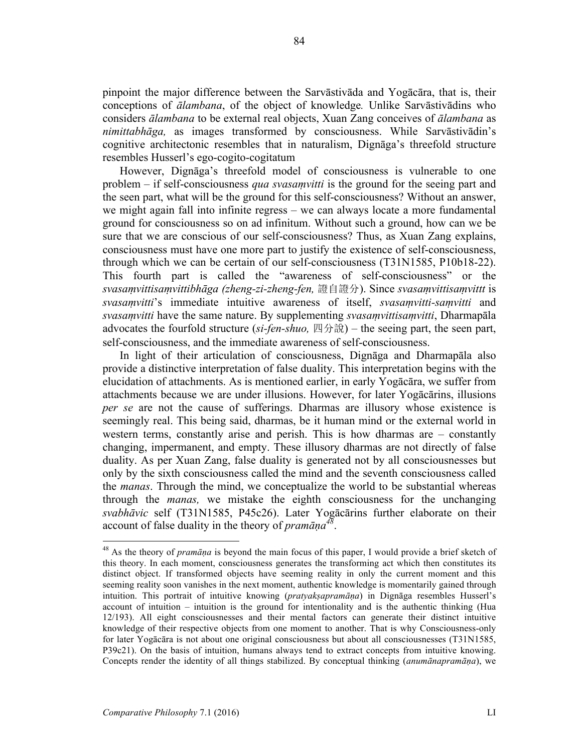pinpoint the major difference between the Sarvāstivāda and Yogācāra, that is, their conceptions of *ālambana*, of the object of knowledge*.* Unlike Sarvāstivādins who considers *ālambana* to be external real objects, Xuan Zang conceives of *ālambana* as *nimittabhāga,* as images transformed by consciousness. While Sarvāstivādin's cognitive architectonic resembles that in naturalism, Dignāga's threefold structure resembles Husserl's ego-cogito-cogitatum

However, Dignāga's threefold model of consciousness is vulnerable to one problem – if self-consciousness *qua svasaṃvitti* is the ground for the seeing part and the seen part, what will be the ground for this self-consciousness? Without an answer, we might again fall into infinite regress – we can always locate a more fundamental ground for consciousness so on ad infinitum. Without such a ground, how can we be sure that we are conscious of our self-consciousness? Thus, as Xuan Zang explains, consciousness must have one more part to justify the existence of self-consciousness, through which we can be certain of our self-consciousness (T31N1585, P10b18-22). This fourth part is called the "awareness of self-consciousness" or the *svasaṃvittisaṃvittibhāga (zheng-zi-zheng-fen,* 證自證分). Since *svasaṃvittisaṃvittt* is *svasaṃvitti*'s immediate intuitive awareness of itself, *svasaṃvitti-saṃvitti* and *svasaṃvitti* have the same nature. By supplementing *svasaṃvittisaṃvitti*, Dharmapāla advocates the fourfold structure (*si-fen-shuo,* 四分說) – the seeing part, the seen part, self-consciousness, and the immediate awareness of self-consciousness.

In light of their articulation of consciousness, Dignāga and Dharmapāla also provide a distinctive interpretation of false duality. This interpretation begins with the elucidation of attachments. As is mentioned earlier, in early Yogācāra, we suffer from attachments because we are under illusions. However, for later Yogācārins, illusions *per se* are not the cause of sufferings. Dharmas are illusory whose existence is seemingly real. This being said, dharmas, be it human mind or the external world in western terms, constantly arise and perish. This is how dharmas are – constantly changing, impermanent, and empty. These illusory dharmas are not directly of false duality. As per Xuan Zang, false duality is generated not by all consciousnesses but only by the sixth consciousness called the mind and the seventh consciousness called the *manas*. Through the mind, we conceptualize the world to be substantial whereas through the *manas,* we mistake the eighth consciousness for the unchanging *svabhāvic* self (T31N1585, P45c26). Later Yogācārins further elaborate on their account of false duality in the theory of *pramāṇa 48*.

 <sup>48</sup> As the theory of *pramāṇ<sup>a</sup>* is beyond the main focus of this paper, I would provide a brief sketch of this theory. In each moment, consciousness generates the transforming act which then constitutes its distinct object. If transformed objects have seeming reality in only the current moment and this seeming reality soon vanishes in the next moment, authentic knowledge is momentarily gained through intuition. This portrait of intuitive knowing (*pratyakṣapramāṇa*) in Dignāga resembles Husserl's account of intuition – intuition is the ground for intentionality and is the authentic thinking (Hua 12/193). All eight consciousnesses and their mental factors can generate their distinct intuitive knowledge of their respective objects from one moment to another. That is why Consciousness-only for later Yogācāra is not about one original consciousness but about all consciousnesses (T31N1585, P39c21). On the basis of intuition, humans always tend to extract concepts from intuitive knowing. Concepts render the identity of all things stabilized. By conceptual thinking (*anumānapramāṇa*), we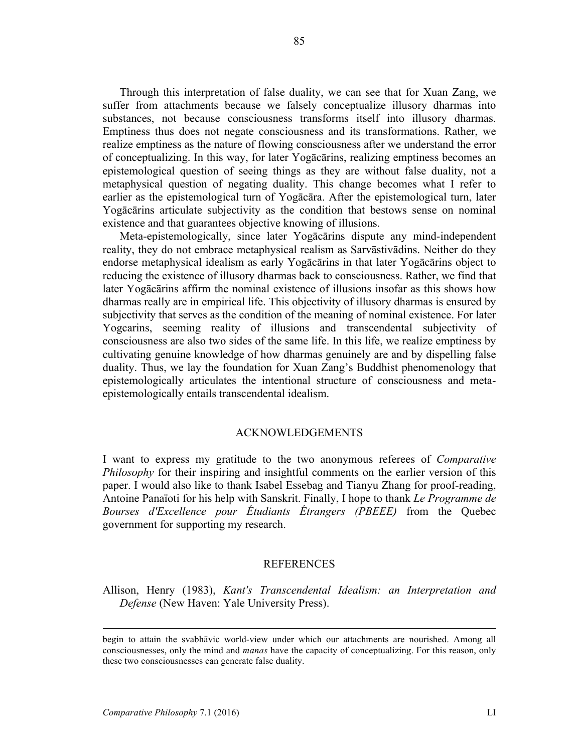Through this interpretation of false duality, we can see that for Xuan Zang, we suffer from attachments because we falsely conceptualize illusory dharmas into substances, not because consciousness transforms itself into illusory dharmas. Emptiness thus does not negate consciousness and its transformations. Rather, we realize emptiness as the nature of flowing consciousness after we understand the error of conceptualizing. In this way, for later Yogācārins, realizing emptiness becomes an epistemological question of seeing things as they are without false duality, not a metaphysical question of negating duality. This change becomes what I refer to earlier as the epistemological turn of Yogācāra. After the epistemological turn, later Yogācārins articulate subjectivity as the condition that bestows sense on nominal existence and that guarantees objective knowing of illusions.

Meta-epistemologically, since later Yogācārins dispute any mind-independent reality, they do not embrace metaphysical realism as Sarvāstivādins. Neither do they endorse metaphysical idealism as early Yogācārins in that later Yogācārins object to reducing the existence of illusory dharmas back to consciousness. Rather, we find that later Yogācārins affirm the nominal existence of illusions insofar as this shows how dharmas really are in empirical life. This objectivity of illusory dharmas is ensured by subjectivity that serves as the condition of the meaning of nominal existence. For later Yogcarins, seeming reality of illusions and transcendental subjectivity of consciousness are also two sides of the same life. In this life, we realize emptiness by cultivating genuine knowledge of how dharmas genuinely are and by dispelling false duality. Thus, we lay the foundation for Xuan Zang's Buddhist phenomenology that epistemologically articulates the intentional structure of consciousness and metaepistemologically entails transcendental idealism.

# ACKNOWLEDGEMENTS

I want to express my gratitude to the two anonymous referees of *Comparative Philosophy* for their inspiring and insightful comments on the earlier version of this paper. I would also like to thank Isabel Essebag and Tianyu Zhang for proof-reading, Antoine Panaïoti for his help with Sanskrit. Finally, I hope to thank *Le Programme de Bourses d'Excellence pour Étudiants Étrangers (PBEEE)* from the Quebec government for supporting my research.

## REFERENCES

Allison, Henry (1983), *Kant's Transcendental Idealism: an Interpretation and Defense* (New Haven: Yale University Press).

begin to attain the svabhāvic world-view under which our attachments are nourished. Among all consciousnesses, only the mind and *manas* have the capacity of conceptualizing. For this reason, only these two consciousnesses can generate false duality.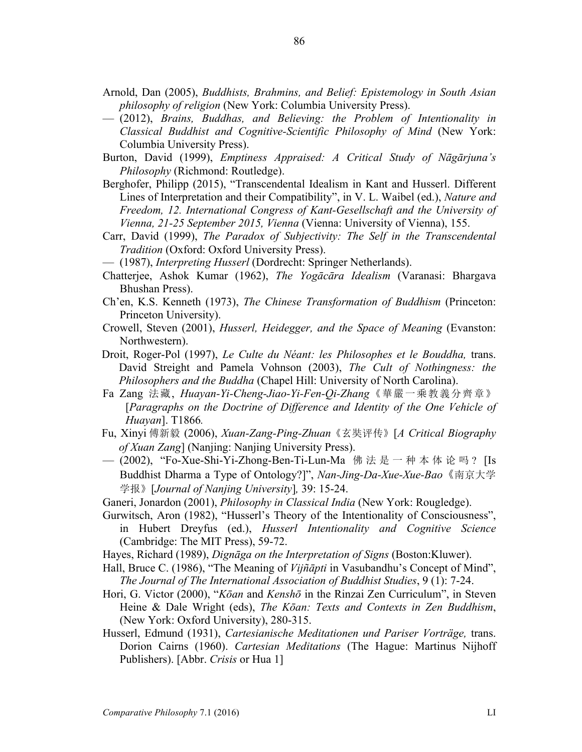- Arnold, Dan (2005), *Buddhists, Brahmins, and Belief: Epistemology in South Asian philosophy of religion* (New York: Columbia University Press).
- (2012), *Brains, Buddhas, and Believing: the Problem of Intentionality in Classical Buddhist and Cognitive-Scientific Philosophy of Mind* (New York: Columbia University Press).
- Burton, David (1999), *Emptiness Appraised: A Critical Study of Nāgārjuna's Philosophy* (Richmond: Routledge).
- Berghofer, Philipp (2015), "Transcendental Idealism in Kant and Husserl. Different Lines of Interpretation and their Compatibility", in V. L. Waibel (ed.), *Nature and Freedom, 12. International Congress of Kant-Gesellschaft and the University of Vienna, 21-25 September 2015, Vienna* (Vienna: University of Vienna), 155.
- Carr, David (1999), *The Paradox of Subjectivity: The Self in the Transcendental Tradition* (Oxford: Oxford University Press).
- (1987), *Interpreting Husserl* (Dordrecht: Springer Netherlands).
- Chatterjee, Ashok Kumar (1962), *The Yogācāra Idealism* (Varanasi: Bhargava Bhushan Press).
- Ch'en, K.S. Kenneth (1973), *The Chinese Transformation of Buddhism* (Princeton: Princeton University).
- Crowell, Steven (2001), *Husserl, Heidegger, and the Space of Meaning* (Evanston: Northwestern).
- Droit, Roger-Pol (1997), *Le Culte du Néant: les Philosophes et le Bouddha,* trans. David Streight and Pamela Vohnson (2003), *The Cult of Nothingness: the Philosophers and the Buddha* (Chapel Hill: University of North Carolina).
- Fa Zang 法藏, *Huayan-Yi-Cheng-Jiao-Yi-Fen-Qi-Zhang*《華嚴一乘教義分齊章》 [*Paragraphs on the Doctrine of Difference and Identity of the One Vehicle of Huayan*]. T1866*.*
- Fu, Xinyi 傅新毅 (2006), *Xuan-Zang-Ping-Zhuan*《玄奘评传》[*A Critical Biography of Xuan Zang*] (Nanjing: Nanjing University Press).
- (2002), "Fo-Xue-Shi-Yi-Zhong-Ben-Ti-Lun-Ma 佛法是一种本体论吗 ? [Is Buddhist Dharma a Type of Ontology?]", *Nan-Jing-Da-Xue-Xue-Bao*《南京大学 学报》[*Journal of Nanjing University*]*,* 39: 15-24.
- Ganeri, Jonardon (2001), *Philosophy in Classical India* (New York: Rougledge).
- Gurwitsch, Aron (1982), "Husserl's Theory of the Intentionality of Consciousness", in Hubert Dreyfus (ed.), *Husserl Intentionality and Cognitive Science*  (Cambridge: The MIT Press), 59-72.
- Hayes, Richard (1989), *Dignāga on the Interpretation of Signs* (Boston:Kluwer).
- Hall, Bruce C. (1986), "The Meaning of *Vijñāpti* in Vasubandhu's Concept of Mind", *The Journal of The International Association of Buddhist Studies*, 9 (1): 7-24.
- Hori, G. Victor (2000), "*Kōan* and *Kenshō* in the Rinzai Zen Curriculum", in Steven Heine & Dale Wright (eds), *The Kōan: Texts and Contexts in Zen Buddhism*, (New York: Oxford University), 280-315.
- Husserl, Edmund (1931), *Cartesianische Meditationen und Pariser Vorträge,* trans. Dorion Cairns (1960). *Cartesian Meditations* (The Hague: Martinus Nijhoff Publishers). [Abbr. *Crisis* or Hua 1]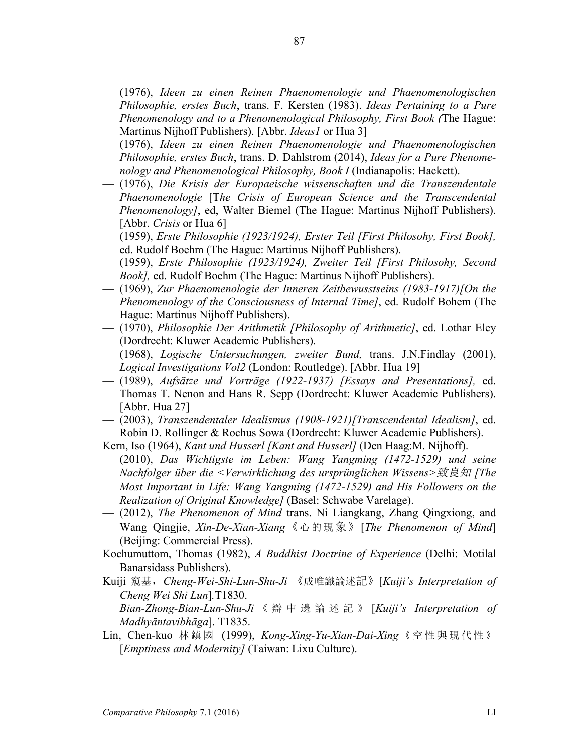- (1976), *Ideen zu einen Reinen Phaenomenologie und Phaenomenologischen Philosophie, erstes Buch*, trans. F. Kersten (1983). *Ideas Pertaining to a Pure Phenomenology and to a Phenomenological Philosophy, First Book (*The Hague: Martinus Nijhoff Publishers). [Abbr. *Ideas1* or Hua 3]
- (1976), *Ideen zu einen Reinen Phaenomenologie und Phaenomenologischen Philosophie, erstes Buch*, trans. D. Dahlstrom (2014), *Ideas for a Pure Phenomenology and Phenomenological Philosophy, Book I* (Indianapolis: Hackett).
- (1976), *Die Krisis der Europaeische wissenschaften und die Transzendentale Phaenomenologie* [T*he Crisis of European Science and the Transcendental Phenomenology]*, ed, Walter Biemel (The Hague: Martinus Nijhoff Publishers). [Abbr. *Crisis* or Hua 6]
- (1959), *Erste Philosophie (1923/1924), Erster Teil [First Philosohy, First Book],*  ed. Rudolf Boehm (The Hague: Martinus Nijhoff Publishers).
- (1959), *Erste Philosophie (1923/1924), Zweiter Teil [First Philosohy, Second Book],* ed. Rudolf Boehm (The Hague: Martinus Nijhoff Publishers).
- (1969), *Zur Phaenomenologie der Inneren Zeitbewusstseins (1983-1917)[On the Phenomenology of the Consciousness of Internal Time]*, ed. Rudolf Bohem (The Hague: Martinus Nijhoff Publishers).
- (1970), *Philosophie Der Arithmetik [Philosophy of Arithmetic]*, ed. Lothar Eley (Dordrecht: Kluwer Academic Publishers).
- (1968), *Logische Untersuchungen, zweiter Bund,* trans. J.N.Findlay (2001), *Logical Investigations Vol2* (London: Routledge). [Abbr. Hua 19]
- (1989), *Aufsätze und Vorträge (1922-1937) [Essays and Presentations],* ed. Thomas T. Nenon and Hans R. Sepp (Dordrecht: Kluwer Academic Publishers). [Abbr. Hua 27]
- (2003), *Transzendentaler Idealismus (1908-1921)[Transcendental Idealism]*, ed. Robin D. Rollinger & Rochus Sowa (Dordrecht: Kluwer Academic Publishers).
- Kern, Iso (1964), *Kant und Husserl [Kant and Husserl]* (Den Haag:M. Nijhoff).
- (2010), *Das Wichtigste im Leben: Wang Yangming (1472-1529) und seine Nachfolger über die <Verwirklichung des ursprünglichen Wissens>*致良知 *[The Most Important in Life: Wang Yangming (1472-1529) and His Followers on the Realization of Original Knowledge]* (Basel: Schwabe Varelage).
- (2012), *The Phenomenon of Mind* trans. Ni Liangkang, Zhang Qingxiong, and Wang Qingjie, *Xin-De-Xian-Xiang*《心的現象》[*The Phenomenon of Mind*] (Beijing: Commercial Press).
- Kochumuttom, Thomas (1982), *A Buddhist Doctrine of Experience* (Delhi: Motilal Banarsidass Publishers).
- Kuiji 窺基,*Cheng-Wei-Shi-Lun-Shu-Ji* 《成唯識論述記》[*Kuiji's Interpretation of Cheng Wei Shi Lun*]*.*T1830.
- *Bian-Zhong-Bian-Lun-Shu-Ji* 《 辯中邊論 述 記 》 [*Kuiji's Interpretation of Madhyāntavibhāga*]. T1835.
- Lin, Chen-kuo 林鎮國 (1999), *Kong-Xing-Yu-Xian-Dai-Xing* 《 空性與現代性 》 [*Emptiness and Modernity]* (Taiwan: Lixu Culture).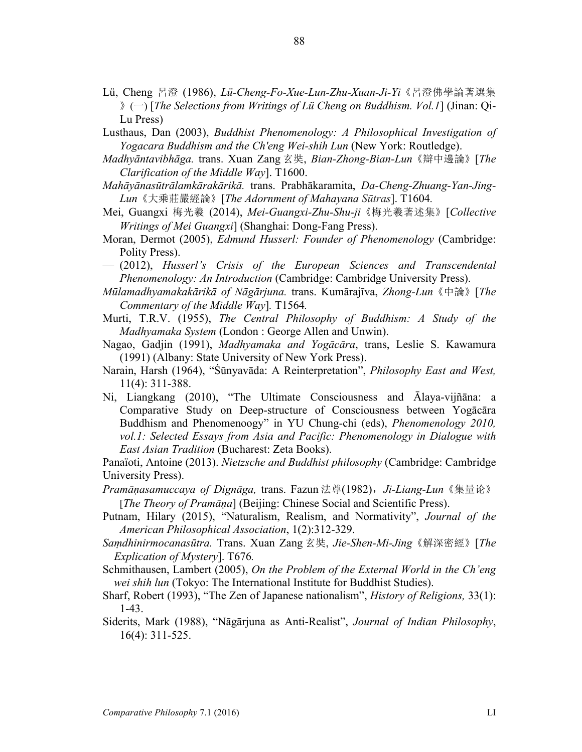- Lü, Cheng 呂澄 (1986), *Lü-Cheng-Fo-Xue-Lun-Zhu-Xuan-Ji-Yi*《呂澄佛學論著選集 》(一) [*The Selections from Writings of Lü Cheng on Buddhism. Vol.1*] (Jinan: Qi-Lu Press)
- Lusthaus, Dan (2003), *Buddhist Phenomenology: A Philosophical Investigation of Yogacara Buddhism and the Ch'eng Wei-shih Lun* (New York: Routledge).
- *Madhyāntavibhāga.* trans. Xuan Zang 玄奘, *Bian-Zhong-Bian-Lun*《辯中邊論》[*The Clarification of the Middle Way*]. T1600.
- *Mahāyānasūtrālamkārakārikā.* trans. Prabhākaramita, *Da-Cheng-Zhuang-Yan-Jing-Lun*《大乘莊嚴經論》[*The Adornment of Mahayana Sūtras*]. T1604*.*
- Mei, Guangxi 梅光羲 (2014), *Mei-Guangxi-Zhu-Shu-ji*《梅光羲著述集》[*Collective Writings of Mei Guangxi*] (Shanghai: Dong-Fang Press).
- Moran, Dermot (2005), *Edmund Husserl: Founder of Phenomenology* (Cambridge: Polity Press).
- (2012), *Husserl's Crisis of the European Sciences and Transcendental Phenomenology: An Introduction* (Cambridge: Cambridge University Press).
- *Mūlamadhyamakakārikā of Nāgārjuna.* trans. Kumārajīva, *Zhong-Lun*《中論》[*The Commentary of the Middle Way*]*.* T1564*.*
- Murti, T.R.V. (1955), *The Central Philosophy of Buddhism: A Study of the Madhyamaka System* (London : George Allen and Unwin).
- Nagao, Gadjin (1991), *Madhyamaka and Yogācāra*, trans, Leslie S. Kawamura (1991) (Albany: State University of New York Press).
- Narain, Harsh (1964), "Śūnyavāda: A Reinterpretation", *Philosophy East and West,*  11(4): 311-388.
- Ni, Liangkang (2010), "The Ultimate Consciousness and Ālaya-vijñāna: a Comparative Study on Deep-structure of Consciousness between Yogācāra Buddhism and Phenomenoogy" in YU Chung-chi (eds), *Phenomenology 2010, vol.1: Selected Essays from Asia and Pacific: Phenomenology in Dialogue with East Asian Tradition* (Bucharest: Zeta Books).

Panaïoti, Antoine (2013). *Nietzsche and Buddhist philosophy* (Cambridge: Cambridge University Press).

*Pramāṇasamuccaya of Dignāga,* trans. Fazun 法尊(1982),*Ji-Liang-Lun*《集量论》 [*The Theory of Pramāna*] (Beijing: Chinese Social and Scientific Press).

- Putnam, Hilary (2015), "Naturalism, Realism, and Normativity", *Journal of the American Philosophical Association*, 1(2):312-329.
- *Saṃdhinirmocanasūtra.* Trans. Xuan Zang 玄奘, *Jie-Shen-Mi-Jing*《解深密經》[*The Explication of Mystery*]. T676*.*
- Schmithausen, Lambert (2005), *On the Problem of the External World in the Ch'eng wei shih lun* (Tokyo: The International Institute for Buddhist Studies).
- Sharf, Robert (1993), "The Zen of Japanese nationalism", *History of Religions,* 33(1): 1-43.
- Siderits, Mark (1988), "Nāgārjuna as Anti-Realist", *Journal of Indian Philosophy*, 16(4): 311-525.